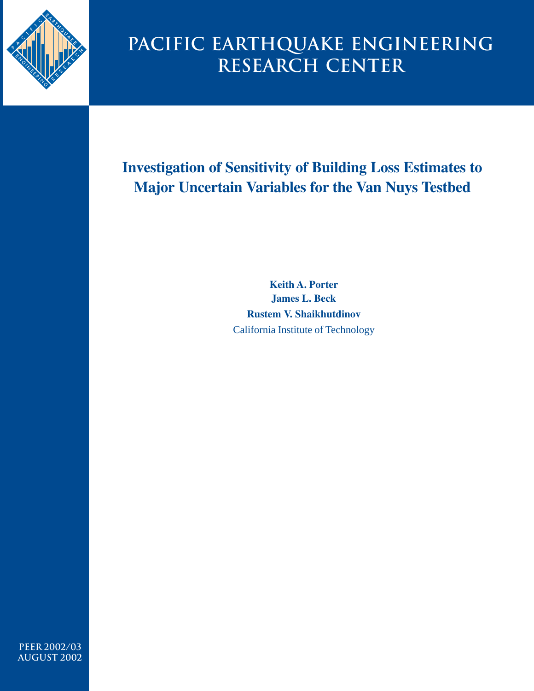

# **Pacific Earthquake Engineering Research Center**

# **Investigation of Sensitivity of Building Loss Estimates to Major Uncertain Variables for the Van Nuys Testbed**

**Keith A. Porter James L. Beck Rustem V. Shaikhutdinov** California Institute of Technology

**PEER 2002/03 aUGUST 2002**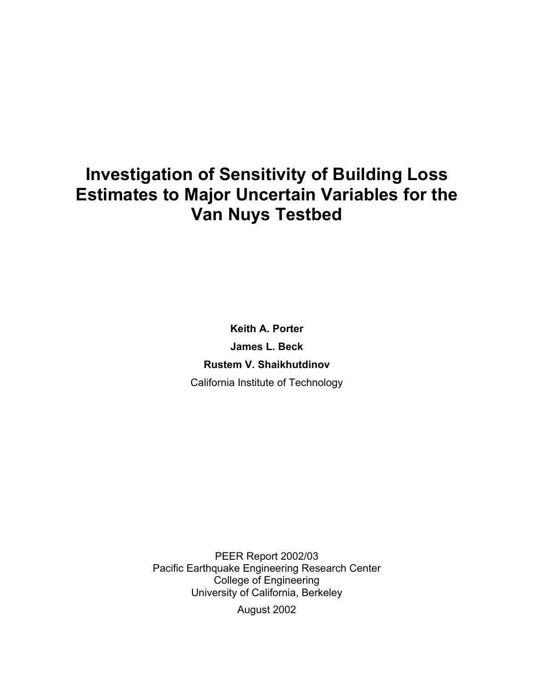# **Investigation of Sensitivity of Building Loss Estimates to Major Uncertain Variables for the Van Nuys Testbed**

**Keith A. Porter James L. Beck Rustem V. Shaikhutdinov**  California Institute of Technology

PEER Report 2002/03 Pacific Earthquake Engineering Research Center College of Engineering University of California, Berkeley August 2002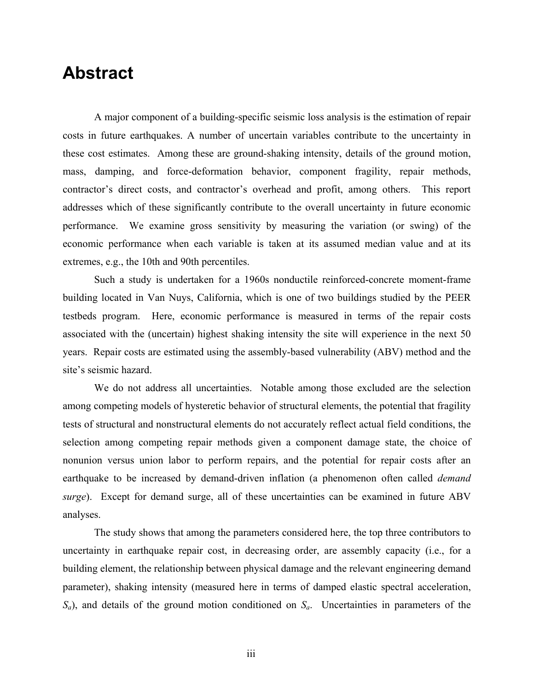### <span id="page-2-0"></span>**Abstract**

A major component of a building-specific seismic loss analysis is the estimation of repair costs in future earthquakes. A number of uncertain variables contribute to the uncertainty in these cost estimates. Among these are ground-shaking intensity, details of the ground motion, mass, damping, and force-deformation behavior, component fragility, repair methods, contractor's direct costs, and contractor's overhead and profit, among others. This report addresses which of these significantly contribute to the overall uncertainty in future economic performance. We examine gross sensitivity by measuring the variation (or swing) of the economic performance when each variable is taken at its assumed median value and at its extremes, e.g., the 10th and 90th percentiles.

Such a study is undertaken for a 1960s nonductile reinforced-concrete moment-frame building located in Van Nuys, California, which is one of two buildings studied by the PEER testbeds program. Here, economic performance is measured in terms of the repair costs associated with the (uncertain) highest shaking intensity the site will experience in the next 50 years. Repair costs are estimated using the assembly-based vulnerability (ABV) method and the site's seismic hazard.

We do not address all uncertainties. Notable among those excluded are the selection among competing models of hysteretic behavior of structural elements, the potential that fragility tests of structural and nonstructural elements do not accurately reflect actual field conditions, the selection among competing repair methods given a component damage state, the choice of nonunion versus union labor to perform repairs, and the potential for repair costs after an earthquake to be increased by demand-driven inflation (a phenomenon often called *demand surge*). Except for demand surge, all of these uncertainties can be examined in future ABV analyses.

The study shows that among the parameters considered here, the top three contributors to uncertainty in earthquake repair cost, in decreasing order, are assembly capacity (i.e., for a building element, the relationship between physical damage and the relevant engineering demand parameter), shaking intensity (measured here in terms of damped elastic spectral acceleration,  $S_a$ ), and details of the ground motion conditioned on  $S_a$ . Uncertainties in parameters of the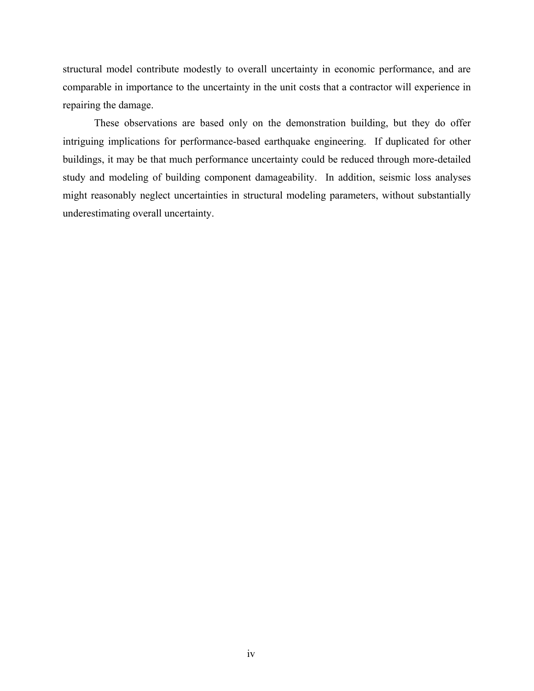structural model contribute modestly to overall uncertainty in economic performance, and are comparable in importance to the uncertainty in the unit costs that a contractor will experience in repairing the damage.

These observations are based only on the demonstration building, but they do offer intriguing implications for performance-based earthquake engineering. If duplicated for other buildings, it may be that much performance uncertainty could be reduced through more-detailed study and modeling of building component damageability. In addition, seismic loss analyses might reasonably neglect uncertainties in structural modeling parameters, without substantially underestimating overall uncertainty.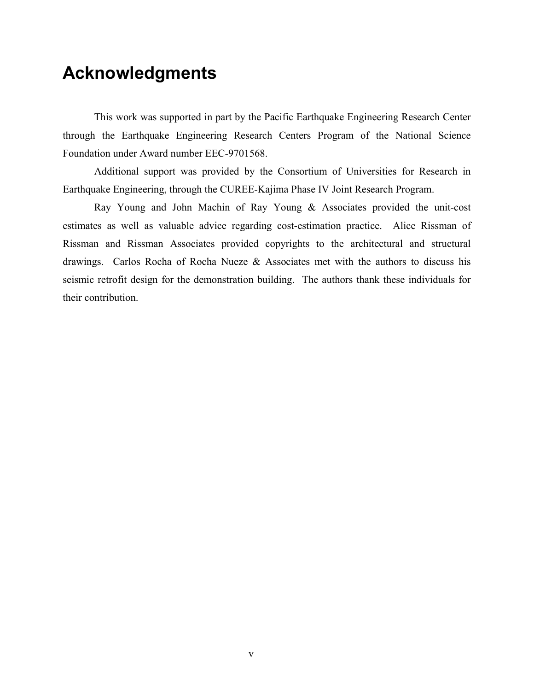## <span id="page-4-0"></span>**Acknowledgments**

This work was supported in part by the Pacific Earthquake Engineering Research Center through the Earthquake Engineering Research Centers Program of the National Science Foundation under Award number EEC-9701568.

Additional support was provided by the Consortium of Universities for Research in Earthquake Engineering, through the CUREE-Kajima Phase IV Joint Research Program.

Ray Young and John Machin of Ray Young & Associates provided the unit-cost estimates as well as valuable advice regarding cost-estimation practice. Alice Rissman of Rissman and Rissman Associates provided copyrights to the architectural and structural drawings. Carlos Rocha of Rocha Nueze & Associates met with the authors to discuss his seismic retrofit design for the demonstration building. The authors thank these individuals for their contribution.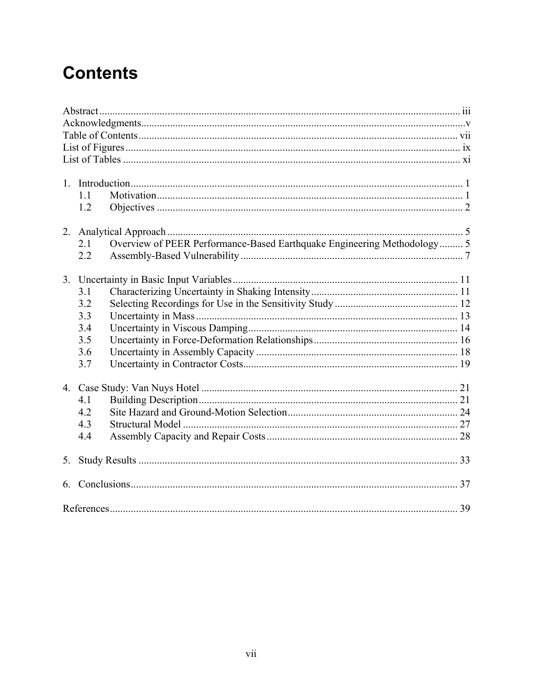# **Contents**

|    | 11                                                                             |  |
|----|--------------------------------------------------------------------------------|--|
|    | 1.2                                                                            |  |
|    |                                                                                |  |
|    | 2.1                                                                            |  |
|    | Overview of PEER Performance-Based Earthquake Engineering Methodology 5<br>2.2 |  |
|    |                                                                                |  |
|    |                                                                                |  |
|    | 3.1                                                                            |  |
|    | 3.2                                                                            |  |
|    | 3.3                                                                            |  |
|    |                                                                                |  |
|    | 3.4                                                                            |  |
|    | 3.5                                                                            |  |
|    | 3.6                                                                            |  |
|    | 3.7                                                                            |  |
|    |                                                                                |  |
|    | 4.1                                                                            |  |
|    | 4.2                                                                            |  |
|    | 4.3                                                                            |  |
|    | 4.4                                                                            |  |
|    |                                                                                |  |
| 5. |                                                                                |  |
|    |                                                                                |  |
|    |                                                                                |  |
|    |                                                                                |  |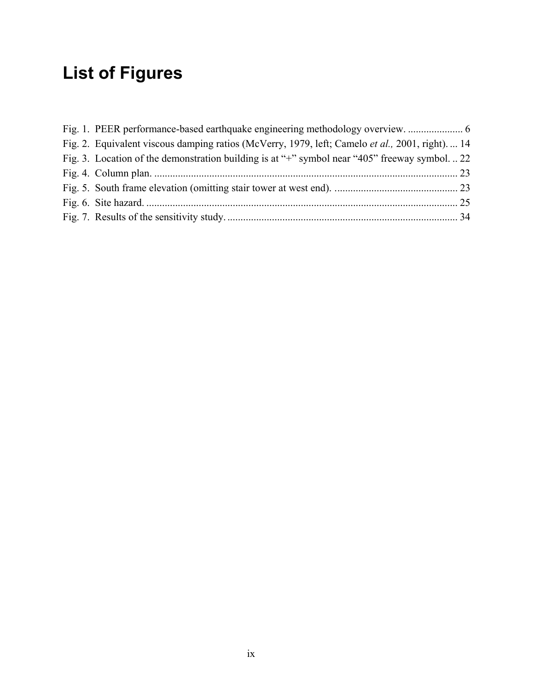# <span id="page-6-0"></span>**List of Figures**

| Fig. 2. Equivalent viscous damping ratios (McVerry, 1979, left; Camelo <i>et al.</i> , 2001, right) 14 |  |
|--------------------------------------------------------------------------------------------------------|--|
| Fig. 3. Location of the demonstration building is at "+" symbol near "405" freeway symbol.  22         |  |
|                                                                                                        |  |
|                                                                                                        |  |
|                                                                                                        |  |
|                                                                                                        |  |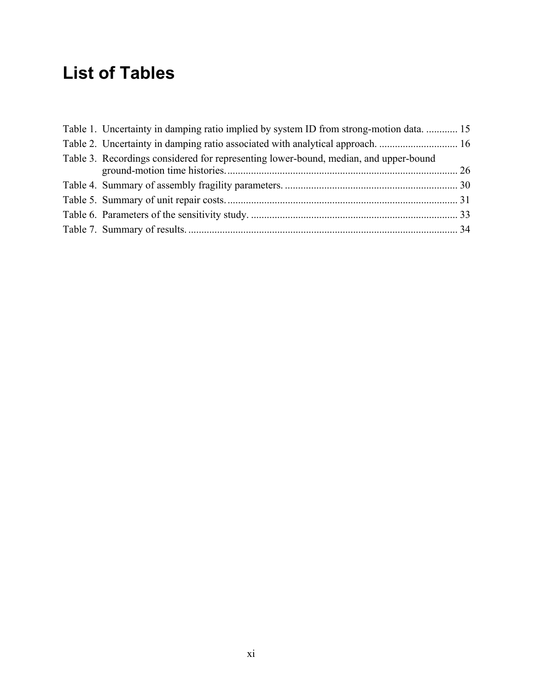# **List of Tables**

| Table 1. Uncertainty in damping ratio implied by system ID from strong-motion data.  15 |  |
|-----------------------------------------------------------------------------------------|--|
|                                                                                         |  |
| Table 3. Recordings considered for representing lower-bound, median, and upper-bound    |  |
|                                                                                         |  |
|                                                                                         |  |
|                                                                                         |  |
|                                                                                         |  |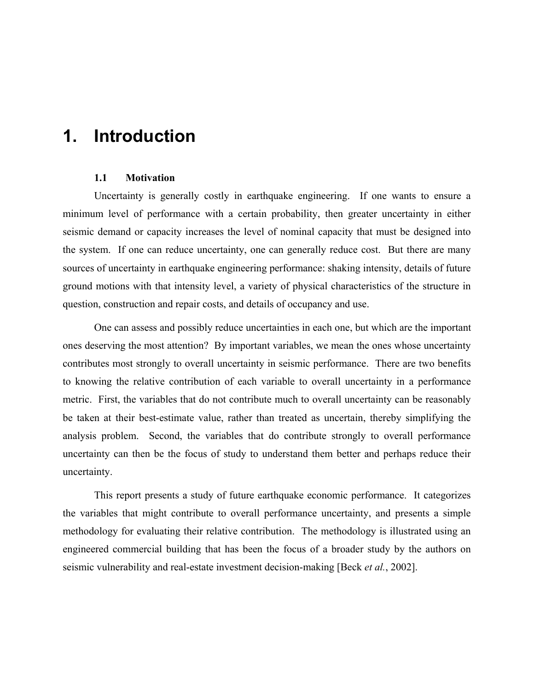## <span id="page-8-0"></span>**1. Introduction**

### **1.1 Motivation**

Uncertainty is generally costly in earthquake engineering. If one wants to ensure a minimum level of performance with a certain probability, then greater uncertainty in either seismic demand or capacity increases the level of nominal capacity that must be designed into the system. If one can reduce uncertainty, one can generally reduce cost. But there are many sources of uncertainty in earthquake engineering performance: shaking intensity, details of future ground motions with that intensity level, a variety of physical characteristics of the structure in question, construction and repair costs, and details of occupancy and use.

One can assess and possibly reduce uncertainties in each one, but which are the important ones deserving the most attention? By important variables, we mean the ones whose uncertainty contributes most strongly to overall uncertainty in seismic performance. There are two benefits to knowing the relative contribution of each variable to overall uncertainty in a performance metric. First, the variables that do not contribute much to overall uncertainty can be reasonably be taken at their best-estimate value, rather than treated as uncertain, thereby simplifying the analysis problem. Second, the variables that do contribute strongly to overall performance uncertainty can then be the focus of study to understand them better and perhaps reduce their uncertainty.

This report presents a study of future earthquake economic performance. It categorizes the variables that might contribute to overall performance uncertainty, and presents a simple methodology for evaluating their relative contribution. The methodology is illustrated using an engineered commercial building that has been the focus of a broader study by the authors on seismic vulnerability and real-estate investment decision-making [Beck *et al.*, 2002].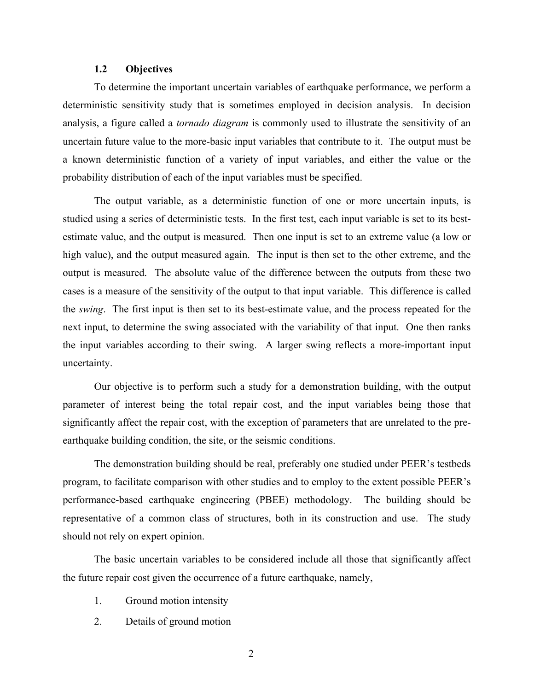### **1.2 Objectives**

<span id="page-9-0"></span>To determine the important uncertain variables of earthquake performance, we perform a deterministic sensitivity study that is sometimes employed in decision analysis. In decision analysis, a figure called a *tornado diagram* is commonly used to illustrate the sensitivity of an uncertain future value to the more-basic input variables that contribute to it. The output must be a known deterministic function of a variety of input variables, and either the value or the probability distribution of each of the input variables must be specified.

The output variable, as a deterministic function of one or more uncertain inputs, is studied using a series of deterministic tests. In the first test, each input variable is set to its bestestimate value, and the output is measured. Then one input is set to an extreme value (a low or high value), and the output measured again. The input is then set to the other extreme, and the output is measured. The absolute value of the difference between the outputs from these two cases is a measure of the sensitivity of the output to that input variable. This difference is called the *swing*. The first input is then set to its best-estimate value, and the process repeated for the next input, to determine the swing associated with the variability of that input. One then ranks the input variables according to their swing. A larger swing reflects a more-important input uncertainty.

Our objective is to perform such a study for a demonstration building, with the output parameter of interest being the total repair cost, and the input variables being those that significantly affect the repair cost, with the exception of parameters that are unrelated to the preearthquake building condition, the site, or the seismic conditions.

The demonstration building should be real, preferably one studied under PEER's testbeds program, to facilitate comparison with other studies and to employ to the extent possible PEER's performance-based earthquake engineering (PBEE) methodology. The building should be representative of a common class of structures, both in its construction and use. The study should not rely on expert opinion.

The basic uncertain variables to be considered include all those that significantly affect the future repair cost given the occurrence of a future earthquake, namely,

- 1. Ground motion intensity
- 2. Details of ground motion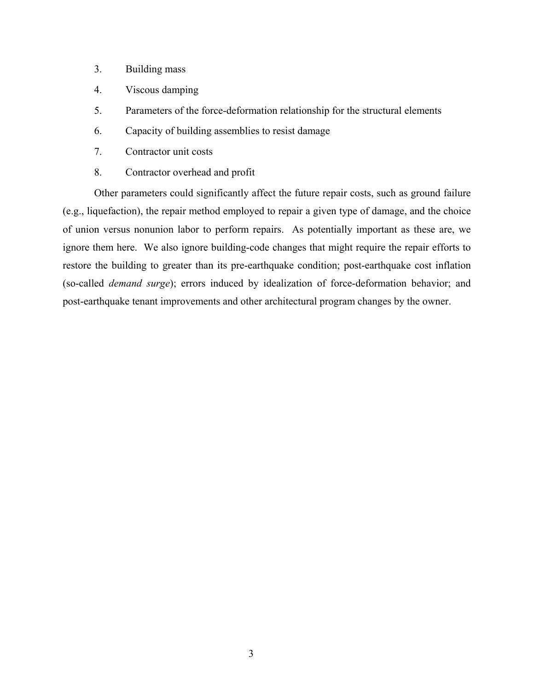- 3. Building mass
- 4. Viscous damping
- 5. Parameters of the force-deformation relationship for the structural elements
- 6. Capacity of building assemblies to resist damage
- 7. Contractor unit costs
- 8. Contractor overhead and profit

Other parameters could significantly affect the future repair costs, such as ground failure (e.g., liquefaction), the repair method employed to repair a given type of damage, and the choice of union versus nonunion labor to perform repairs. As potentially important as these are, we ignore them here. We also ignore building-code changes that might require the repair efforts to restore the building to greater than its pre-earthquake condition; post-earthquake cost inflation (so-called *demand surge*); errors induced by idealization of force-deformation behavior; and post-earthquake tenant improvements and other architectural program changes by the owner.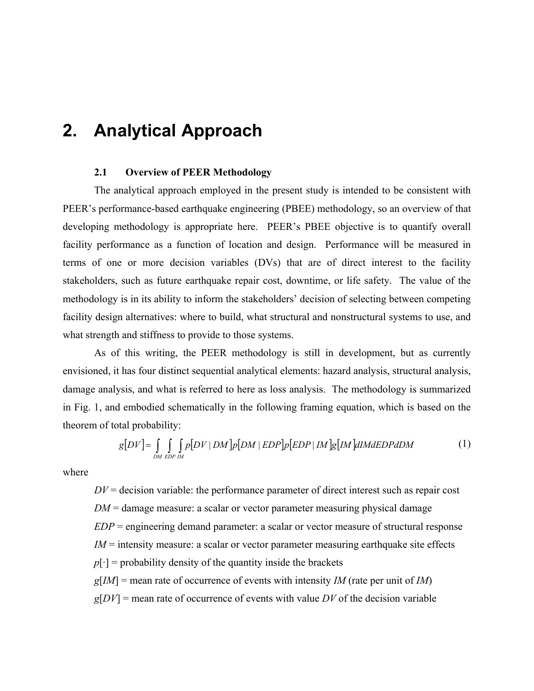## <span id="page-11-0"></span>**2. Analytical Approach**

### **2.1 Overview of PEER Methodology**

The analytical approach employed in the present study is intended to be consistent with PEER's performance-based earthquake engineering (PBEE) methodology, so an overview of that developing methodology is appropriate here. PEER's PBEE objective is to quantify overall facility performance as a function of location and design. Performance will be measured in terms of one or more decision variables (DVs) that are of direct interest to the facility stakeholders, such as future earthquake repair cost, downtime, or life safety. The value of the methodology is in its ability to inform the stakeholders' decision of selecting between competing facility design alternatives: where to build, what structural and nonstructural systems to use, and what strength and stiffness to provide to those systems.

As of this writing, the PEER methodology is still in development, but as currently envisioned, it has four distinct sequential analytical elements: hazard analysis, structural analysis, damage analysis, and what is referred to here as loss analysis. The methodology is summarized in [Fig. 1,](#page-12-0) and embodied schematically in the following framing equation, which is based on the theorem of total probability:

$$
g[DV] = \int_{DMEDPIM} \int_{EDPIM} p[DV | DM] p[DM | EDP] p[EDP | IM] g[IM] dIMdEDP dDM
$$
 (1)

where

 $DV =$  decision variable: the performance parameter of direct interest such as repair cost *DM* = damage measure: a scalar or vector parameter measuring physical damage *EDP* = engineering demand parameter: a scalar or vector measure of structural response *IM* = intensity measure: a scalar or vector parameter measuring earthquake site effects  $p[\cdot]$  = probability density of the quantity inside the brackets *g*[*IM*] = mean rate of occurrence of events with intensity *IM* (rate per unit of *IM*)  $g[DV]$  = mean rate of occurrence of events with value *DV* of the decision variable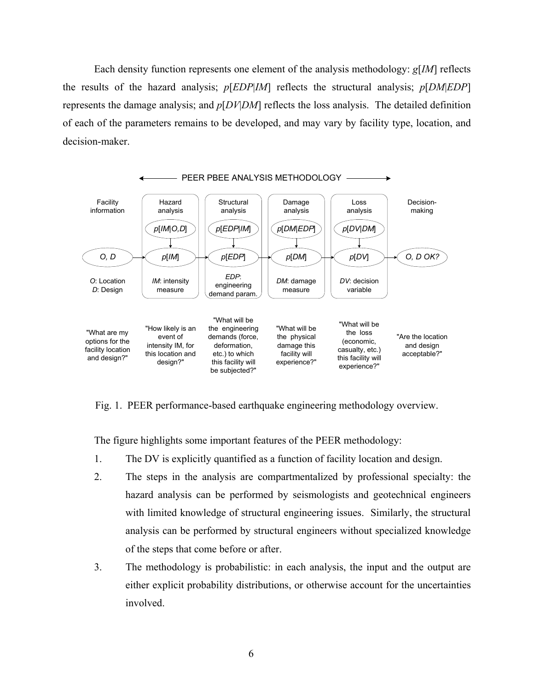Each density function represents one element of the analysis methodology: *g*[*IM*] reflects the results of the hazard analysis; *p*[*EDP*|*IM*] reflects the structural analysis; *p*[*DM*|*EDP*] represents the damage analysis; and *p*[*DV*|*DM*] reflects the loss analysis. The detailed definition of each of the parameters remains to be developed, and may vary by facility type, location, and decision-maker.

<span id="page-12-0"></span>

Fig. 1. PEER performance-based earthquake engineering methodology overview.

The figure highlights some important features of the PEER methodology:

- 1. The DV is explicitly quantified as a function of facility location and design.
- 2. The steps in the analysis are compartmentalized by professional specialty: the hazard analysis can be performed by seismologists and geotechnical engineers with limited knowledge of structural engineering issues. Similarly, the structural analysis can be performed by structural engineers without specialized knowledge of the steps that come before or after.
- 3. The methodology is probabilistic: in each analysis, the input and the output are either explicit probability distributions, or otherwise account for the uncertainties involved.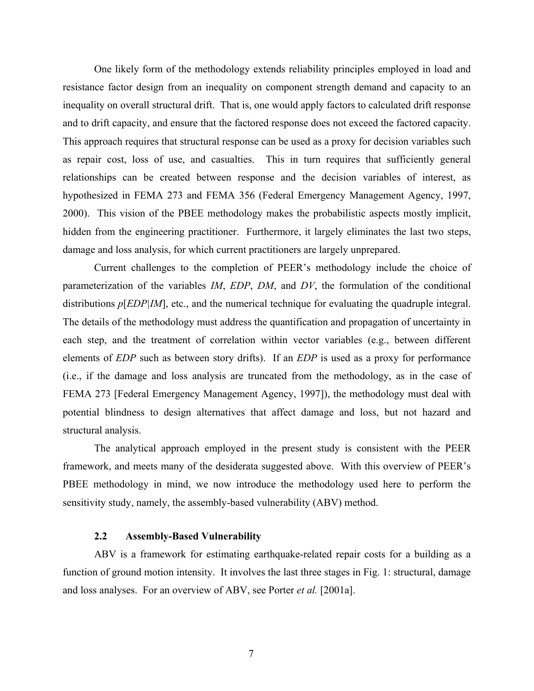<span id="page-13-0"></span>One likely form of the methodology extends reliability principles employed in load and resistance factor design from an inequality on component strength demand and capacity to an inequality on overall structural drift. That is, one would apply factors to calculated drift response and to drift capacity, and ensure that the factored response does not exceed the factored capacity. This approach requires that structural response can be used as a proxy for decision variables such as repair cost, loss of use, and casualties. This in turn requires that sufficiently general relationships can be created between response and the decision variables of interest, as hypothesized in FEMA 273 and FEMA 356 (Federal Emergency Management Agency, 1997, 2000). This vision of the PBEE methodology makes the probabilistic aspects mostly implicit, hidden from the engineering practitioner. Furthermore, it largely eliminates the last two steps, damage and loss analysis, for which current practitioners are largely unprepared.

Current challenges to the completion of PEER's methodology include the choice of parameterization of the variables *IM*, *EDP*, *DM*, and *DV*, the formulation of the conditional distributions  $p[EDP|IM]$ , etc., and the numerical technique for evaluating the quadruple integral. The details of the methodology must address the quantification and propagation of uncertainty in each step, and the treatment of correlation within vector variables (e.g., between different elements of *EDP* such as between story drifts). If an *EDP* is used as a proxy for performance (i.e., if the damage and loss analysis are truncated from the methodology, as in the case of FEMA 273 [Federal Emergency Management Agency, 1997]), the methodology must deal with potential blindness to design alternatives that affect damage and loss, but not hazard and structural analysis.

The analytical approach employed in the present study is consistent with the PEER framework, and meets many of the desiderata suggested above. With this overview of PEER's PBEE methodology in mind, we now introduce the methodology used here to perform the sensitivity study, namely, the assembly-based vulnerability (ABV) method.

#### **2.2 Assembly-Based Vulnerability**

ABV is a framework for estimating earthquake-related repair costs for a building as a function of ground motion intensity. It involves the last three stages in Fig. 1: structural, damage and loss analyses. For an overview of ABV, see Porter *et al.* [2001a].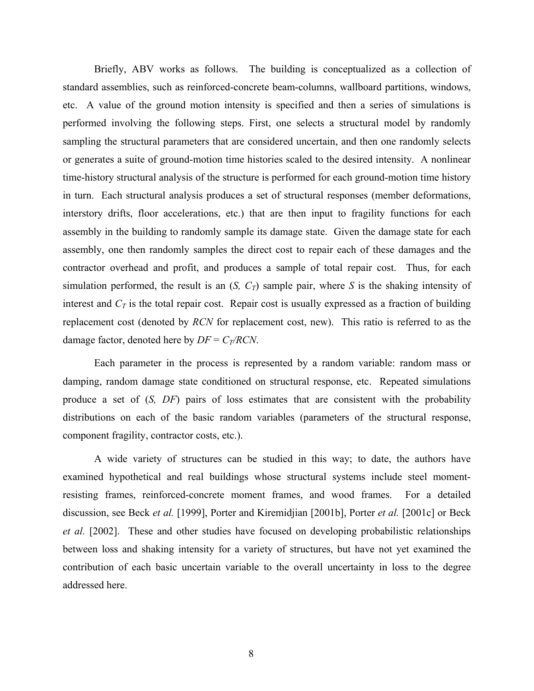Briefly, ABV works as follows. The building is conceptualized as a collection of standard assemblies, such as reinforced-concrete beam-columns, wallboard partitions, windows, etc. A value of the ground motion intensity is specified and then a series of simulations is performed involving the following steps. First, one selects a structural model by randomly sampling the structural parameters that are considered uncertain, and then one randomly selects or generates a suite of ground-motion time histories scaled to the desired intensity. A nonlinear time-history structural analysis of the structure is performed for each ground-motion time history in turn. Each structural analysis produces a set of structural responses (member deformations, interstory drifts, floor accelerations, etc.) that are then input to fragility functions for each assembly in the building to randomly sample its damage state. Given the damage state for each assembly, one then randomly samples the direct cost to repair each of these damages and the contractor overhead and profit, and produces a sample of total repair cost. Thus, for each simulation performed, the result is an  $(S, C_T)$  sample pair, where *S* is the shaking intensity of interest and  $C_T$  is the total repair cost. Repair cost is usually expressed as a fraction of building replacement cost (denoted by *RCN* for replacement cost, new). This ratio is referred to as the damage factor, denoted here by  $DF = C_T/RCN$ .

Each parameter in the process is represented by a random variable: random mass or damping, random damage state conditioned on structural response, etc. Repeated simulations produce a set of (*S, DF*) pairs of loss estimates that are consistent with the probability distributions on each of the basic random variables (parameters of the structural response, component fragility, contractor costs, etc.).

A wide variety of structures can be studied in this way; to date, the authors have examined hypothetical and real buildings whose structural systems include steel momentresisting frames, reinforced-concrete moment frames, and wood frames. For a detailed discussion, see Beck *et al.* [1999], Porter and Kiremidjian [2001b], Porter *et al.* [2001c] or Beck *et al.* [2002]. These and other studies have focused on developing probabilistic relationships between loss and shaking intensity for a variety of structures, but have not yet examined the contribution of each basic uncertain variable to the overall uncertainty in loss to the degree addressed here.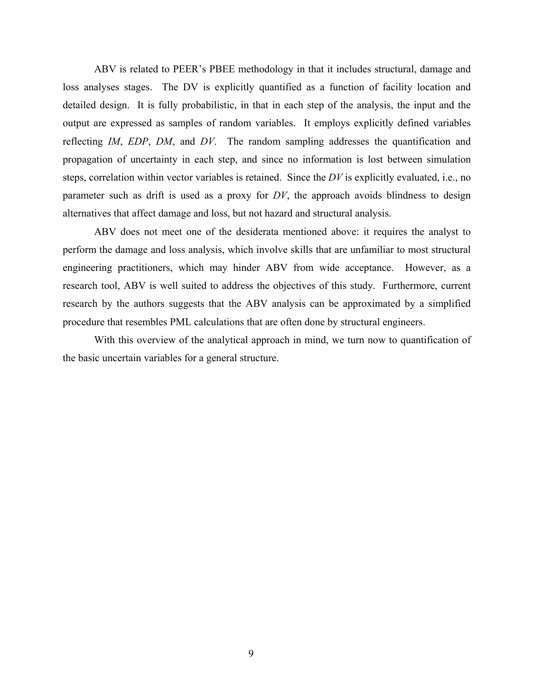ABV is related to PEER's PBEE methodology in that it includes structural, damage and loss analyses stages. The DV is explicitly quantified as a function of facility location and detailed design. It is fully probabilistic, in that in each step of the analysis, the input and the output are expressed as samples of random variables. It employs explicitly defined variables reflecting *IM*, *EDP*, *DM*, and *DV*. The random sampling addresses the quantification and propagation of uncertainty in each step, and since no information is lost between simulation steps, correlation within vector variables is retained. Since the *DV* is explicitly evaluated, i.e., no parameter such as drift is used as a proxy for *DV*, the approach avoids blindness to design alternatives that affect damage and loss, but not hazard and structural analysis.

ABV does not meet one of the desiderata mentioned above: it requires the analyst to perform the damage and loss analysis, which involve skills that are unfamiliar to most structural engineering practitioners, which may hinder ABV from wide acceptance. However, as a research tool, ABV is well suited to address the objectives of this study. Furthermore, current research by the authors suggests that the ABV analysis can be approximated by a simplified procedure that resembles PML calculations that are often done by structural engineers.

With this overview of the analytical approach in mind, we turn now to quantification of the basic uncertain variables for a general structure.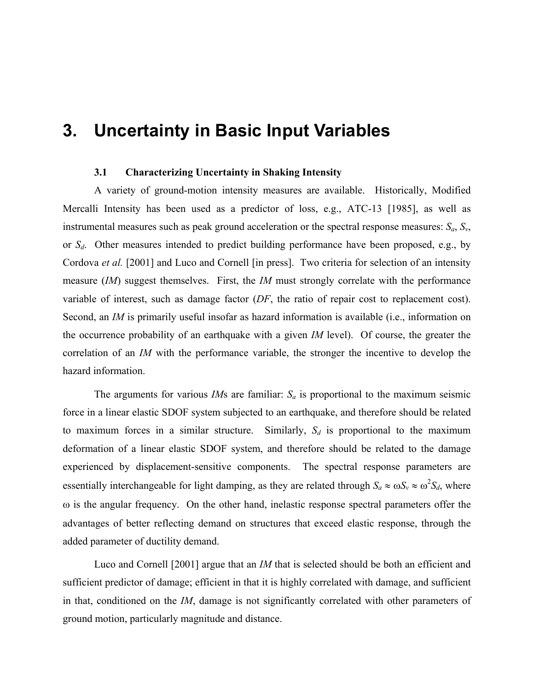## <span id="page-16-0"></span>**3. Uncertainty in Basic Input Variables**

### **3.1 Characterizing Uncertainty in Shaking Intensity**

A variety of ground-motion intensity measures are available. Historically, Modified Mercalli Intensity has been used as a predictor of loss, e.g., ATC-13 [1985], as well as instrumental measures such as peak ground acceleration or the spectral response measures:  $S_a$ ,  $S_v$ , or *S<sub>d</sub>*. Other measures intended to predict building performance have been proposed, e.g., by Cordova *et al.* [2001] and Luco and Cornell [in press]. Two criteria for selection of an intensity measure (*IM*) suggest themselves. First, the *IM* must strongly correlate with the performance variable of interest, such as damage factor (*DF*, the ratio of repair cost to replacement cost). Second, an *IM* is primarily useful insofar as hazard information is available (i.e., information on the occurrence probability of an earthquake with a given *IM* level). Of course, the greater the correlation of an *IM* with the performance variable, the stronger the incentive to develop the hazard information.

The arguments for various *IM*s are familiar:  $S_a$  is proportional to the maximum seismic force in a linear elastic SDOF system subjected to an earthquake, and therefore should be related to maximum forces in a similar structure. Similarly,  $S_d$  is proportional to the maximum deformation of a linear elastic SDOF system, and therefore should be related to the damage experienced by displacement-sensitive components. The spectral response parameters are essentially interchangeable for light damping, as they are related through  $S_a \approx \omega S_v \approx \omega^2 S_d$ , where ω is the angular frequency. On the other hand, inelastic response spectral parameters offer the advantages of better reflecting demand on structures that exceed elastic response, through the added parameter of ductility demand.

Luco and Cornell [2001] argue that an *IM* that is selected should be both an efficient and sufficient predictor of damage; efficient in that it is highly correlated with damage, and sufficient in that, conditioned on the *IM*, damage is not significantly correlated with other parameters of ground motion, particularly magnitude and distance.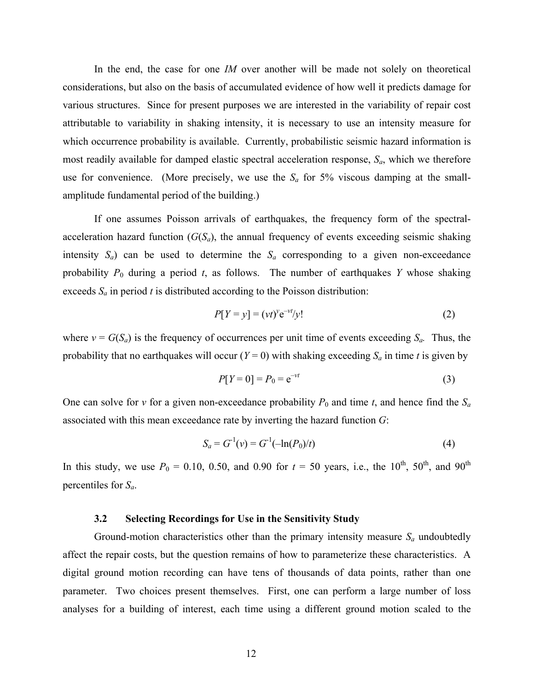<span id="page-17-0"></span>In the end, the case for one *IM* over another will be made not solely on theoretical considerations, but also on the basis of accumulated evidence of how well it predicts damage for various structures. Since for present purposes we are interested in the variability of repair cost attributable to variability in shaking intensity, it is necessary to use an intensity measure for which occurrence probability is available. Currently, probabilistic seismic hazard information is most readily available for damped elastic spectral acceleration response, *Sa*, which we therefore use for convenience. (More precisely, we use the  $S_a$  for 5% viscous damping at the smallamplitude fundamental period of the building.)

If one assumes Poisson arrivals of earthquakes, the frequency form of the spectralacceleration hazard function  $(G(S_a))$ , the annual frequency of events exceeding seismic shaking intensity  $S_a$ ) can be used to determine the  $S_a$  corresponding to a given non-exceedance probability  $P_0$  during a period  $t$ , as follows. The number of earthquakes  $Y$  whose shaking exceeds *Sa* in period *t* is distributed according to the Poisson distribution:

$$
P[Y = y] = (vt)^{\gamma} e^{-vt}/y!
$$
 (2)

where  $v = G(S_a)$  is the frequency of occurrences per unit time of events exceeding  $S_a$ . Thus, the probability that no earthquakes will occur  $(Y = 0)$  with shaking exceeding  $S_a$  in time *t* is given by

$$
P[Y=0] = P_0 = e^{-\nu t}
$$
 (3)

One can solve for *v* for a given non-exceedance probability  $P_0$  and time *t*, and hence find the  $S_a$ associated with this mean exceedance rate by inverting the hazard function *G*:

$$
S_a = G^{-1}(v) = G^{-1}(-\ln(P_0)/t)
$$
\n(4)

In this study, we use  $P_0 = 0.10$ , 0.50, and 0.90 for  $t = 50$  years, i.e., the 10<sup>th</sup>, 50<sup>th</sup>, and 90<sup>th</sup> percentiles for *Sa*.

#### **3.2 Selecting Recordings for Use in the Sensitivity Study**

Ground-motion characteristics other than the primary intensity measure  $S_a$  undoubtedly affect the repair costs, but the question remains of how to parameterize these characteristics. A digital ground motion recording can have tens of thousands of data points, rather than one parameter. Two choices present themselves. First, one can perform a large number of loss analyses for a building of interest, each time using a different ground motion scaled to the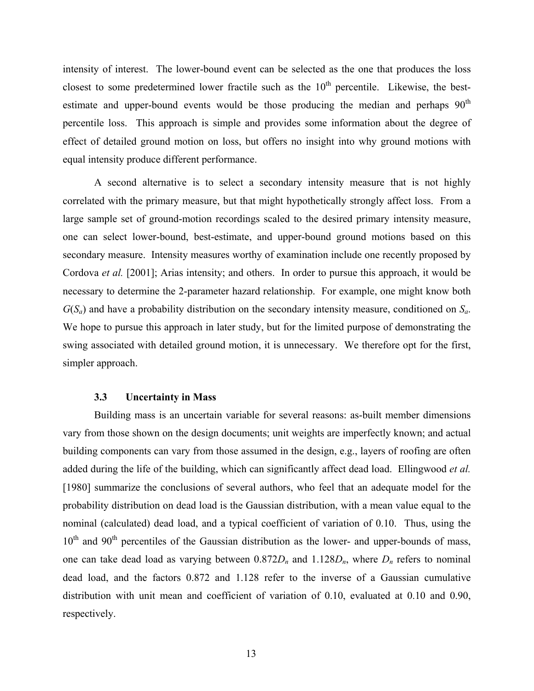<span id="page-18-0"></span>intensity of interest. The lower-bound event can be selected as the one that produces the loss closest to some predetermined lower fractile such as the  $10<sup>th</sup>$  percentile. Likewise, the bestestimate and upper-bound events would be those producing the median and perhaps  $90<sup>th</sup>$ percentile loss. This approach is simple and provides some information about the degree of effect of detailed ground motion on loss, but offers no insight into why ground motions with equal intensity produce different performance.

A second alternative is to select a secondary intensity measure that is not highly correlated with the primary measure, but that might hypothetically strongly affect loss. From a large sample set of ground-motion recordings scaled to the desired primary intensity measure, one can select lower-bound, best-estimate, and upper-bound ground motions based on this secondary measure. Intensity measures worthy of examination include one recently proposed by Cordova *et al.* [2001]; Arias intensity; and others. In order to pursue this approach, it would be necessary to determine the 2-parameter hazard relationship. For example, one might know both *G*(*Sa*) and have a probability distribution on the secondary intensity measure, conditioned on *Sa*. We hope to pursue this approach in later study, but for the limited purpose of demonstrating the swing associated with detailed ground motion, it is unnecessary. We therefore opt for the first, simpler approach.

#### **3.3 Uncertainty in Mass**

Building mass is an uncertain variable for several reasons: as-built member dimensions vary from those shown on the design documents; unit weights are imperfectly known; and actual building components can vary from those assumed in the design, e.g., layers of roofing are often added during the life of the building, which can significantly affect dead load. Ellingwood *et al.* [1980] summarize the conclusions of several authors, who feel that an adequate model for the probability distribution on dead load is the Gaussian distribution, with a mean value equal to the nominal (calculated) dead load, and a typical coefficient of variation of 0.10. Thus, using the  $10<sup>th</sup>$  and  $90<sup>th</sup>$  percentiles of the Gaussian distribution as the lower- and upper-bounds of mass, one can take dead load as varying between  $0.872D_n$  and  $1.128D_n$ , where  $D_n$  refers to nominal dead load, and the factors 0.872 and 1.128 refer to the inverse of a Gaussian cumulative distribution with unit mean and coefficient of variation of 0.10, evaluated at 0.10 and 0.90, respectively.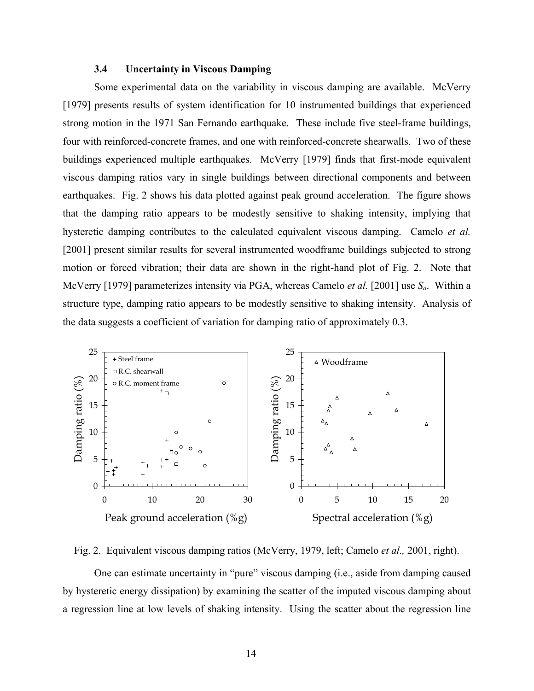### **3.4 Uncertainty in Viscous Damping**

<span id="page-19-0"></span>Some experimental data on the variability in viscous damping are available. McVerry [1979] presents results of system identification for 10 instrumented buildings that experienced strong motion in the 1971 San Fernando earthquake. These include five steel-frame buildings, four with reinforced-concrete frames, and one with reinforced-concrete shearwalls. Two of these buildings experienced multiple earthquakes. McVerry [1979] finds that first-mode equivalent viscous damping ratios vary in single buildings between directional components and between earthquakes. [Fig. 2](#page-19-1) shows his data plotted against peak ground acceleration. The figure shows that the damping ratio appears to be modestly sensitive to shaking intensity, implying that hysteretic damping contributes to the calculated equivalent viscous damping. Camelo *et al.* [2001] present similar results for several instrumented woodframe buildings subjected to strong motion or forced vibration; their data are shown in the right-hand plot of [Fig. 2.](#page-19-1) Note that McVerry [1979] parameterizes intensity via PGA, whereas Camelo *et al.* [2001] use *Sa*. Within a structure type, damping ratio appears to be modestly sensitive to shaking intensity. Analysis of the data suggests a coefficient of variation for damping ratio of approximately 0.3.

<span id="page-19-1"></span>

Fig. 2. Equivalent viscous damping ratios (McVerry, 1979, left; Camelo *et al.,* 2001, right).

One can estimate uncertainty in "pure" viscous damping (i.e., aside from damping caused by hysteretic energy dissipation) by examining the scatter of the imputed viscous damping about a regression line at low levels of shaking intensity. Using the scatter about the regression line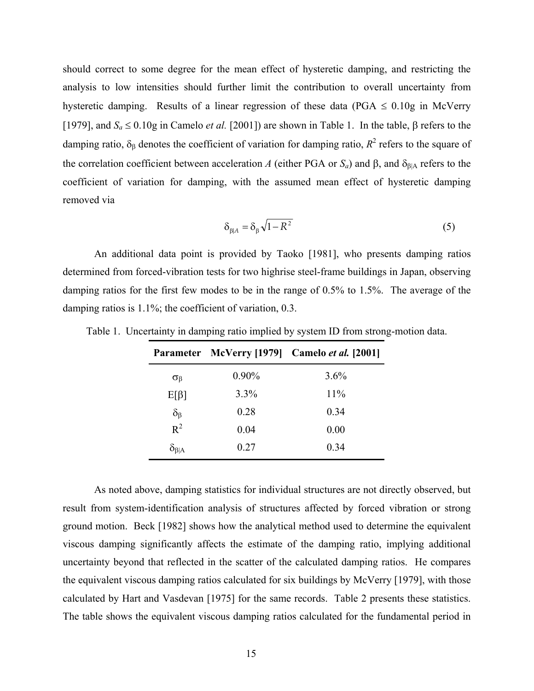should correct to some degree for the mean effect of hysteretic damping, and restricting the analysis to low intensities should further limit the contribution to overall uncertainty from hysteretic damping. Results of a linear regression of these data (PGA  $\leq$  0.10g in McVerry [1979], and *Sa* ≤ 0.10g in Camelo *et al.* [2001]) are shown in [Table 1.](#page-20-0) In the table, β refers to the damping ratio,  $\delta_{\beta}$  denotes the coefficient of variation for damping ratio,  $R^2$  refers to the square of the correlation coefficient between acceleration *A* (either PGA or  $S_a$ ) and  $\beta$ , and  $\delta_{\beta|A}$  refers to the coefficient of variation for damping, with the assumed mean effect of hysteretic damping removed via

$$
\delta_{\beta|A} = \delta_{\beta} \sqrt{1 - R^2} \tag{5}
$$

An additional data point is provided by Taoko [1981], who presents damping ratios determined from forced-vibration tests for two highrise steel-frame buildings in Japan, observing damping ratios for the first few modes to be in the range of 0.5% to 1.5%. The average of the damping ratios is 1.1%; the coefficient of variation, 0.3.

|                              |          | Parameter McVerry [1979] Camelo et al. [2001] |
|------------------------------|----------|-----------------------------------------------|
| $\sigma_{\beta}$             | $0.90\%$ | 3.6%                                          |
| $E[\beta]$                   | 3.3%     | 11%                                           |
|                              | 0.28     | 0.34                                          |
| $\frac{\delta_{\beta}}{R^2}$ | 0.04     | 0.00                                          |
| $\delta_{\beta A}$           | 0.27     | 0.34                                          |

<span id="page-20-0"></span>Table 1. Uncertainty in damping ratio implied by system ID from strong-motion data.

As noted above, damping statistics for individual structures are not directly observed, but result from system-identification analysis of structures affected by forced vibration or strong ground motion. Beck [1982] shows how the analytical method used to determine the equivalent viscous damping significantly affects the estimate of the damping ratio, implying additional uncertainty beyond that reflected in the scatter of the calculated damping ratios. He compares the equivalent viscous damping ratios calculated for six buildings by McVerry [1979], with those calculated by Hart and Vasdevan [1975] for the same records. [Table 2](#page-21-1) presents these statistics. The table shows the equivalent viscous damping ratios calculated for the fundamental period in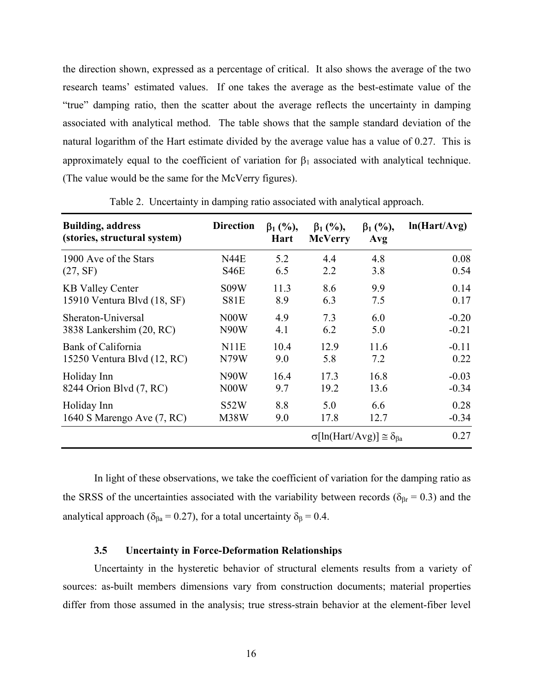<span id="page-21-0"></span>the direction shown, expressed as a percentage of critical. It also shows the average of the two research teams' estimated values. If one takes the average as the best-estimate value of the "true" damping ratio, then the scatter about the average reflects the uncertainty in damping associated with analytical method. The table shows that the sample standard deviation of the natural logarithm of the Hart estimate divided by the average value has a value of 0.27. This is approximately equal to the coefficient of variation for  $\beta_1$  associated with analytical technique. (The value would be the same for the McVerry figures).

| <b>Building, address</b><br>(stories, structural system) | <b>Direction</b>  | $\beta_1$ (%),<br>Hart | $\beta_1$ (%),<br><b>McVerry</b> | $\beta_1$ (%),<br>Avg                            | ln(Hart/Avg) |
|----------------------------------------------------------|-------------------|------------------------|----------------------------------|--------------------------------------------------|--------------|
| 1900 Ave of the Stars                                    | N44E              | 5.2                    | 4.4                              | 4.8                                              | 0.08         |
| (27, SF)                                                 | S46E              | 6.5                    | 2.2                              | 3.8                                              | 0.54         |
| <b>KB Valley Center</b>                                  | S09W              | 11.3                   | 8.6                              | 9.9                                              | 0.14         |
| 15910 Ventura Blvd (18, SF)                              | <b>S81E</b>       | 8.9                    | 6.3                              | 7.5                                              | 0.17         |
| Sheraton-Universal                                       | N <sub>0</sub> 0W | 4.9                    | 7.3                              | 6.0                                              | $-0.20$      |
| 3838 Lankershim (20, RC)                                 | N <sub>90</sub> W | 4.1                    | 6.2                              | 5.0                                              | $-0.21$      |
| Bank of California                                       | N11E              | 10.4                   | 12.9                             | 11.6                                             | $-0.11$      |
| 15250 Ventura Blvd (12, RC)                              | N79W              | 9.0                    | 5.8                              | 7.2                                              | 0.22         |
| Holiday Inn                                              | N <sub>90</sub> W | 16.4                   | 17.3                             | 16.8                                             | $-0.03$      |
| 8244 Orion Blvd (7, RC)                                  | N <sub>0</sub> 0W | 9.7                    | 19.2                             | 13.6                                             | $-0.34$      |
| Holiday Inn                                              | S52W              | 8.8                    | 5.0                              | 6.6                                              | 0.28         |
| 1640 S Marengo Ave (7, RC)                               | M38W              | 9.0                    | 17.8                             | 12.7                                             | $-0.34$      |
|                                                          |                   |                        |                                  | $\sigma[\ln(Hart/Avg)] \approx \delta_{\beta a}$ | 0.27         |

<span id="page-21-1"></span>Table 2. Uncertainty in damping ratio associated with analytical approach.

In light of these observations, we take the coefficient of variation for the damping ratio as the SRSS of the uncertainties associated with the variability between records ( $\delta_{\beta r}$  = 0.3) and the analytical approach ( $\delta_{\beta a}$  = 0.27), for a total uncertainty  $\delta_{\beta}$  = 0.4.

#### **3.5 Uncertainty in Force-Deformation Relationships**

Uncertainty in the hysteretic behavior of structural elements results from a variety of sources: as-built members dimensions vary from construction documents; material properties differ from those assumed in the analysis; true stress-strain behavior at the element-fiber level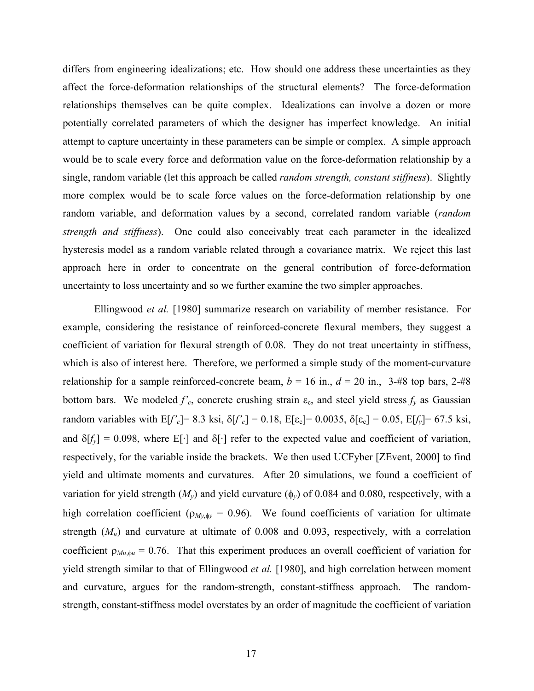differs from engineering idealizations; etc. How should one address these uncertainties as they affect the force-deformation relationships of the structural elements? The force-deformation relationships themselves can be quite complex. Idealizations can involve a dozen or more potentially correlated parameters of which the designer has imperfect knowledge. An initial attempt to capture uncertainty in these parameters can be simple or complex. A simple approach would be to scale every force and deformation value on the force-deformation relationship by a single, random variable (let this approach be called *random strength, constant stiffness*). Slightly more complex would be to scale force values on the force-deformation relationship by one random variable, and deformation values by a second, correlated random variable (*random strength and stiffness*). One could also conceivably treat each parameter in the idealized hysteresis model as a random variable related through a covariance matrix. We reject this last approach here in order to concentrate on the general contribution of force-deformation uncertainty to loss uncertainty and so we further examine the two simpler approaches.

Ellingwood *et al.* [1980] summarize research on variability of member resistance. For example, considering the resistance of reinforced-concrete flexural members, they suggest a coefficient of variation for flexural strength of 0.08. They do not treat uncertainty in stiffness, which is also of interest here. Therefore, we performed a simple study of the moment-curvature relationship for a sample reinforced-concrete beam,  $b = 16$  in.,  $d = 20$  in., 3-#8 top bars, 2-#8 bottom bars. We modeled  $f'_{c}$ , concrete crushing strain  $\varepsilon_c$ , and steel yield stress  $f_y$  as Gaussian random variables with  $E[f'_{c}] = 8.3$  ksi,  $\delta[f'_{c}] = 0.18$ ,  $E[\epsilon_{c}] = 0.0035$ ,  $\delta[\epsilon_{c}] = 0.05$ ,  $E[f_{y}] = 67.5$  ksi, and  $\delta[f_v] = 0.098$ , where E[·] and  $\delta[\cdot]$  refer to the expected value and coefficient of variation, respectively, for the variable inside the brackets. We then used UCFyber [ZEvent, 2000] to find yield and ultimate moments and curvatures. After 20 simulations, we found a coefficient of variation for yield strength  $(M_v)$  and yield curvature  $(\phi_v)$  of 0.084 and 0.080, respectively, with a high correlation coefficient ( $\rho_{My, \phi y} = 0.96$ ). We found coefficients of variation for ultimate strength (*Mu*) and curvature at ultimate of 0.008 and 0.093, respectively, with a correlation coefficient  $\rho_{Mu, \phi u} = 0.76$ . That this experiment produces an overall coefficient of variation for yield strength similar to that of Ellingwood *et al.* [1980], and high correlation between moment and curvature, argues for the random-strength, constant-stiffness approach. The randomstrength, constant-stiffness model overstates by an order of magnitude the coefficient of variation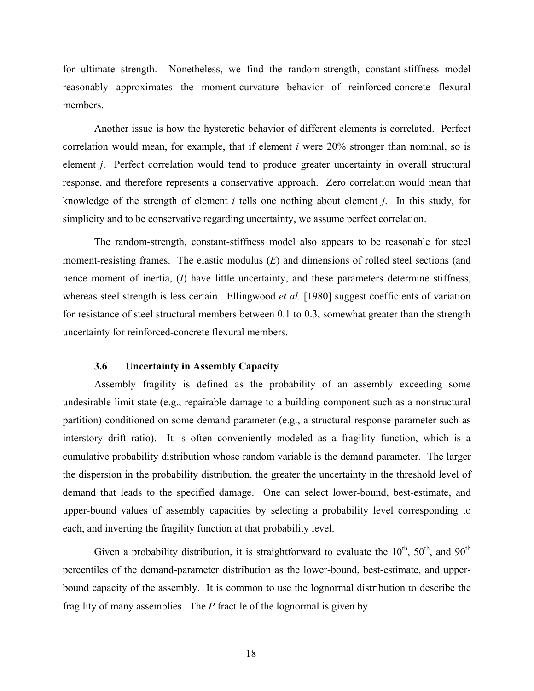<span id="page-23-0"></span>for ultimate strength. Nonetheless, we find the random-strength, constant-stiffness model reasonably approximates the moment-curvature behavior of reinforced-concrete flexural members.

Another issue is how the hysteretic behavior of different elements is correlated. Perfect correlation would mean, for example, that if element *i* were 20% stronger than nominal, so is element *j*. Perfect correlation would tend to produce greater uncertainty in overall structural response, and therefore represents a conservative approach. Zero correlation would mean that knowledge of the strength of element *i* tells one nothing about element *j*. In this study, for simplicity and to be conservative regarding uncertainty, we assume perfect correlation.

The random-strength, constant-stiffness model also appears to be reasonable for steel moment-resisting frames. The elastic modulus (*E*) and dimensions of rolled steel sections (and hence moment of inertia, (*I*) have little uncertainty, and these parameters determine stiffness, whereas steel strength is less certain. Ellingwood *et al.* [1980] suggest coefficients of variation for resistance of steel structural members between 0.1 to 0.3, somewhat greater than the strength uncertainty for reinforced-concrete flexural members.

### **3.6 Uncertainty in Assembly Capacity**

Assembly fragility is defined as the probability of an assembly exceeding some undesirable limit state (e.g., repairable damage to a building component such as a nonstructural partition) conditioned on some demand parameter (e.g., a structural response parameter such as interstory drift ratio). It is often conveniently modeled as a fragility function, which is a cumulative probability distribution whose random variable is the demand parameter. The larger the dispersion in the probability distribution, the greater the uncertainty in the threshold level of demand that leads to the specified damage. One can select lower-bound, best-estimate, and upper-bound values of assembly capacities by selecting a probability level corresponding to each, and inverting the fragility function at that probability level.

Given a probability distribution, it is straightforward to evaluate the  $10^{th}$ ,  $50^{th}$ , and  $90^{th}$ percentiles of the demand-parameter distribution as the lower-bound, best-estimate, and upperbound capacity of the assembly. It is common to use the lognormal distribution to describe the fragility of many assemblies. The *P* fractile of the lognormal is given by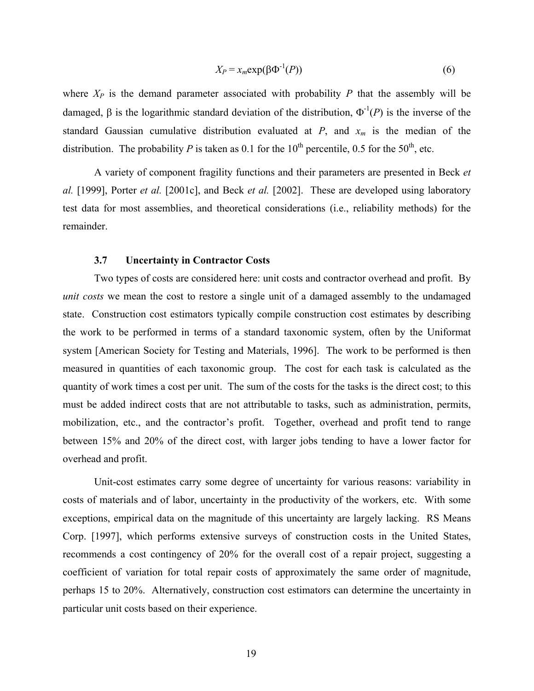$$
X_P = x_m \exp(\beta \Phi^{-1}(P))
$$
\n(6)

<span id="page-24-0"></span>where  $X_P$  is the demand parameter associated with probability  $P$  that the assembly will be damaged, β is the logarithmic standard deviation of the distribution,  $Φ^{-1}(P)$  is the inverse of the standard Gaussian cumulative distribution evaluated at  $P$ , and  $x_m$  is the median of the distribution. The probability *P* is taken as 0.1 for the 10<sup>th</sup> percentile, 0.5 for the 50<sup>th</sup>, etc.

A variety of component fragility functions and their parameters are presented in Beck *et al.* [1999], Porter *et al.* [2001c], and Beck *et al.* [2002]. These are developed using laboratory test data for most assemblies, and theoretical considerations (i.e., reliability methods) for the remainder.

#### **3.7 Uncertainty in Contractor Costs**

Two types of costs are considered here: unit costs and contractor overhead and profit. By *unit costs* we mean the cost to restore a single unit of a damaged assembly to the undamaged state. Construction cost estimators typically compile construction cost estimates by describing the work to be performed in terms of a standard taxonomic system, often by the Uniformat system [American Society for Testing and Materials, 1996]. The work to be performed is then measured in quantities of each taxonomic group. The cost for each task is calculated as the quantity of work times a cost per unit. The sum of the costs for the tasks is the direct cost; to this must be added indirect costs that are not attributable to tasks, such as administration, permits, mobilization, etc., and the contractor's profit. Together, overhead and profit tend to range between 15% and 20% of the direct cost, with larger jobs tending to have a lower factor for overhead and profit.

Unit-cost estimates carry some degree of uncertainty for various reasons: variability in costs of materials and of labor, uncertainty in the productivity of the workers, etc. With some exceptions, empirical data on the magnitude of this uncertainty are largely lacking. RS Means Corp. [1997], which performs extensive surveys of construction costs in the United States, recommends a cost contingency of 20% for the overall cost of a repair project, suggesting a coefficient of variation for total repair costs of approximately the same order of magnitude, perhaps 15 to 20%. Alternatively, construction cost estimators can determine the uncertainty in particular unit costs based on their experience.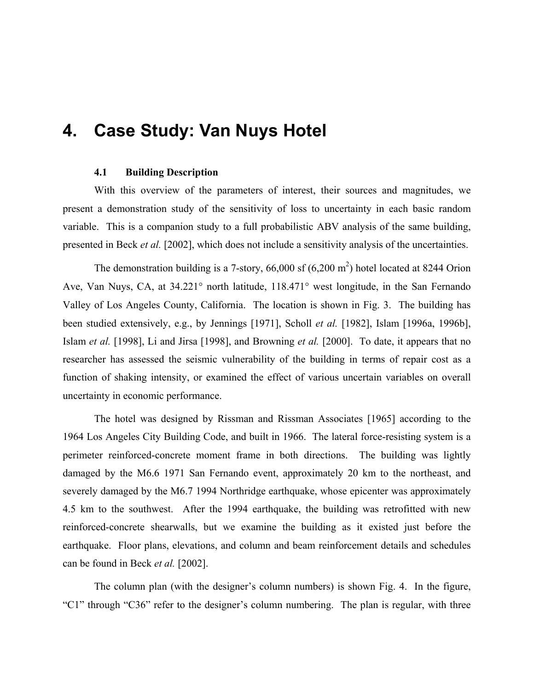## <span id="page-25-0"></span>**4. Case Study: Van Nuys Hotel**

### **4.1 Building Description**

With this overview of the parameters of interest, their sources and magnitudes, we present a demonstration study of the sensitivity of loss to uncertainty in each basic random variable. This is a companion study to a full probabilistic ABV analysis of the same building, presented in Beck *et al.* [2002], which does not include a sensitivity analysis of the uncertainties.

The demonstration building is a 7-story,  $66,000$  sf  $(6,200 \text{ m}^2)$  hotel located at 8244 Orion Ave, Van Nuys, CA, at 34.221° north latitude, 118.471° west longitude, in the San Fernando Valley of Los Angeles County, California. The location is shown in [Fig. 3.](#page-26-0) The building has been studied extensively, e.g., by Jennings [1971], Scholl *et al.* [1982], Islam [1996a, 1996b], Islam *et al.* [1998], Li and Jirsa [1998], and Browning *et al.* [2000]. To date, it appears that no researcher has assessed the seismic vulnerability of the building in terms of repair cost as a function of shaking intensity, or examined the effect of various uncertain variables on overall uncertainty in economic performance.

The hotel was designed by Rissman and Rissman Associates [1965] according to the 1964 Los Angeles City Building Code, and built in 1966. The lateral force-resisting system is a perimeter reinforced-concrete moment frame in both directions. The building was lightly damaged by the M6.6 1971 San Fernando event, approximately 20 km to the northeast, and severely damaged by the M6.7 1994 Northridge earthquake, whose epicenter was approximately 4.5 km to the southwest. After the 1994 earthquake, the building was retrofitted with new reinforced-concrete shearwalls, but we examine the building as it existed just before the earthquake. Floor plans, elevations, and column and beam reinforcement details and schedules can be found in Beck *et al.* [2002].

The column plan (with the designer's column numbers) is shown [Fig. 4.](#page-27-0) In the figure, "C1" through "C36" refer to the designer's column numbering. The plan is regular, with three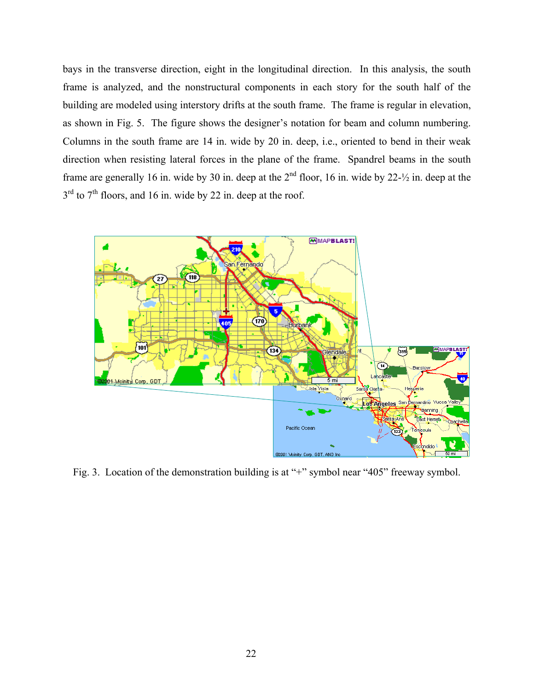bays in the transverse direction, eight in the longitudinal direction. In this analysis, the south frame is analyzed, and the nonstructural components in each story for the south half of the building are modeled using interstory drifts at the south frame. The frame is regular in elevation, as shown in [Fig. 5.](#page-27-1) The figure shows the designer's notation for beam and column numbering. Columns in the south frame are 14 in. wide by 20 in. deep, i.e., oriented to bend in their weak direction when resisting lateral forces in the plane of the frame. Spandrel beams in the south frame are generally 16 in. wide by 30 in. deep at the  $2<sup>nd</sup>$  floor, 16 in. wide by 22- $\frac{1}{2}$  in. deep at the  $3<sup>rd</sup>$  to  $7<sup>th</sup>$  floors, and 16 in. wide by 22 in. deep at the roof.

<span id="page-26-0"></span>

Fig. 3. Location of the demonstration building is at "+" symbol near "405" freeway symbol.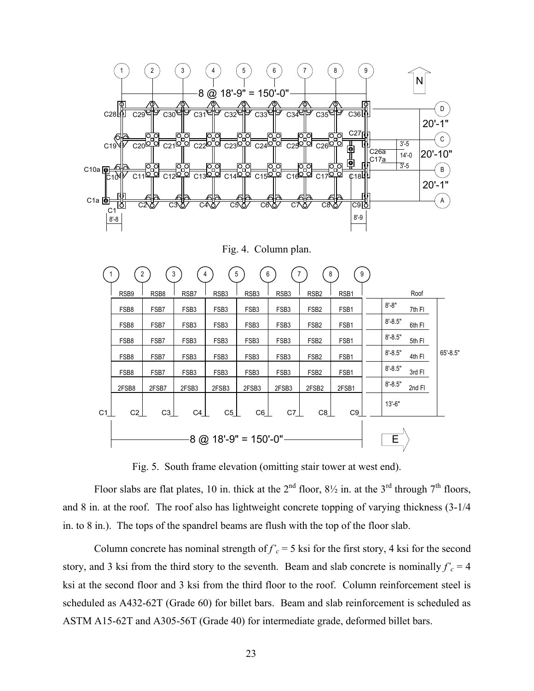<span id="page-27-0"></span>

Fig. 4. Column plan.

<span id="page-27-1"></span>

|                |                        | 2     | 3                | 5                |                  | 6                | 8                 | 9     |             |        |              |
|----------------|------------------------|-------|------------------|------------------|------------------|------------------|-------------------|-------|-------------|--------|--------------|
|                | RSB <sub>9</sub>       | RSB8  | RSB7             | RSB <sub>3</sub> | RSB <sub>3</sub> | RSB <sub>3</sub> | RSB <sub>2</sub>  | RSB1  |             | Roof   |              |
|                | FSB8                   | FSB7  | FSB <sub>3</sub> | FSB <sub>3</sub> | FSB <sub>3</sub> | FSB <sub>3</sub> | FSB <sub>2</sub>  | FSB1  | $8 - 8"$    | 7th FI |              |
|                | FSB8                   | FSB7  | FSB <sub>3</sub> | FSB <sub>3</sub> | FSB <sub>3</sub> | FSB <sub>3</sub> | FSB <sub>2</sub>  | FSB1  | $8' - 8.5"$ | 6th FI |              |
|                | FSB8                   | FSB7  | FSB <sub>3</sub> | FSB <sub>3</sub> | FSB <sub>3</sub> | FSB <sub>3</sub> | FSB <sub>2</sub>  | FSB1  | $8' - 8.5"$ | 5th FI |              |
|                | FSB8                   | FSB7  | FSB <sub>3</sub> | FSB <sub>3</sub> | FSB <sub>3</sub> | FSB <sub>3</sub> | FSB <sub>2</sub>  | FSB1  | $8' - 8.5"$ | 4th FI | $65' - 8.5"$ |
|                | FSB8                   | FSB7  | FSB <sub>3</sub> | FSB <sub>3</sub> | FSB <sub>3</sub> | FSB <sub>3</sub> | FSB <sub>2</sub>  | FSB1  | $8 - 8.5"$  | 3rd FI |              |
|                | 2FSB8                  | 2FSB7 | 2FSB3            | 2FSB3            | 2FSB3            | 2FSB3            | 2FSB <sub>2</sub> | 2FSB1 | $8 - 8.5"$  | 2nd FI |              |
| C <sub>1</sub> | C2                     | C3    | C4               | C5               | C6               | C7_              | C8                | C9    | $13' - 6"$  |        |              |
|                | $8$ @ 18'-9" = 150'-0" |       |                  |                  |                  |                  |                   |       | E           |        |              |

Fig. 5. South frame elevation (omitting stair tower at west end).

Floor slabs are flat plates, 10 in. thick at the  $2<sup>nd</sup>$  floor,  $8\frac{1}{2}$  in. at the  $3<sup>rd</sup>$  through  $7<sup>th</sup>$  floors, and 8 in. at the roof. The roof also has lightweight concrete topping of varying thickness (3-1/4 in. to 8 in.). The tops of the spandrel beams are flush with the top of the floor slab.

Column concrete has nominal strength of  $f'_c = 5$  ksi for the first story, 4 ksi for the second story, and 3 ksi from the third story to the seventh. Beam and slab concrete is nominally  $f'_c = 4$ ksi at the second floor and 3 ksi from the third floor to the roof. Column reinforcement steel is scheduled as A432-62T (Grade 60) for billet bars. Beam and slab reinforcement is scheduled as ASTM A15-62T and A305-56T (Grade 40) for intermediate grade, deformed billet bars.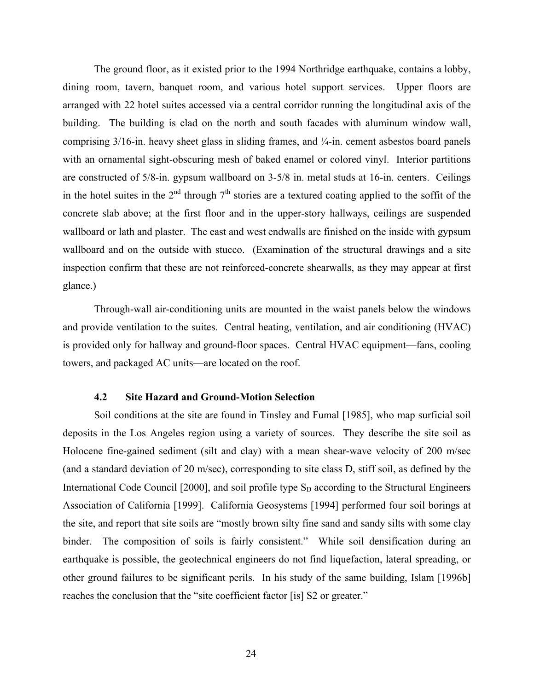<span id="page-28-0"></span>The ground floor, as it existed prior to the 1994 Northridge earthquake, contains a lobby, dining room, tavern, banquet room, and various hotel support services. Upper floors are arranged with 22 hotel suites accessed via a central corridor running the longitudinal axis of the building. The building is clad on the north and south facades with aluminum window wall, comprising 3/16-in. heavy sheet glass in sliding frames, and ¼-in. cement asbestos board panels with an ornamental sight-obscuring mesh of baked enamel or colored vinyl. Interior partitions are constructed of 5/8-in. gypsum wallboard on 3-5/8 in. metal studs at 16-in. centers. Ceilings in the hotel suites in the  $2<sup>nd</sup>$  through  $7<sup>th</sup>$  stories are a textured coating applied to the soffit of the concrete slab above; at the first floor and in the upper-story hallways, ceilings are suspended wallboard or lath and plaster. The east and west endwalls are finished on the inside with gypsum wallboard and on the outside with stucco. (Examination of the structural drawings and a site inspection confirm that these are not reinforced-concrete shearwalls, as they may appear at first glance.)

Through-wall air-conditioning units are mounted in the waist panels below the windows and provide ventilation to the suites. Central heating, ventilation, and air conditioning (HVAC) is provided only for hallway and ground-floor spaces. Central HVAC equipment—fans, cooling towers, and packaged AC units—are located on the roof.

#### **4.2 Site Hazard and Ground-Motion Selection**

Soil conditions at the site are found in Tinsley and Fumal [1985], who map surficial soil deposits in the Los Angeles region using a variety of sources. They describe the site soil as Holocene fine-gained sediment (silt and clay) with a mean shear-wave velocity of 200 m/sec (and a standard deviation of 20 m/sec), corresponding to site class D, stiff soil, as defined by the International Code Council  $[2000]$ , and soil profile type  $S<sub>D</sub>$  according to the Structural Engineers Association of California [1999]. California Geosystems [1994] performed four soil borings at the site, and report that site soils are "mostly brown silty fine sand and sandy silts with some clay binder. The composition of soils is fairly consistent." While soil densification during an earthquake is possible, the geotechnical engineers do not find liquefaction, lateral spreading, or other ground failures to be significant perils. In his study of the same building, Islam [1996b] reaches the conclusion that the "site coefficient factor [is] S2 or greater."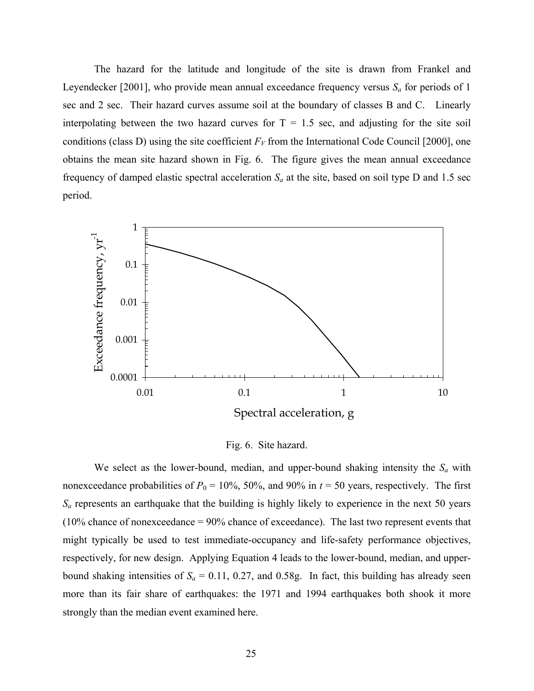The hazard for the latitude and longitude of the site is drawn from Frankel and Leyendecker [2001], who provide mean annual exceedance frequency versus  $S_a$  for periods of 1 sec and 2 sec. Their hazard curves assume soil at the boundary of classes B and C. Linearly interpolating between the two hazard curves for  $T = 1.5$  sec, and adjusting for the site soil conditions (class D) using the site coefficient  $F_V$  from the International Code Council [2000], one obtains the mean site hazard shown in [Fig. 6.](#page-29-0) The figure gives the mean annual exceedance frequency of damped elastic spectral acceleration  $S_a$  at the site, based on soil type D and 1.5 sec period.

<span id="page-29-0"></span>

Fig. 6. Site hazard.

We select as the lower-bound, median, and upper-bound shaking intensity the  $S_a$  with nonexceedance probabilities of  $P_0 = 10\%$ , 50%, and 90% in  $t = 50$  years, respectively. The first  $S_a$  represents an earthquake that the building is highly likely to experience in the next 50 years (10% chance of nonexceedance = 90% chance of exceedance). The last two represent events that might typically be used to test immediate-occupancy and life-safety performance objectives, respectively, for new design. Applying Equation 4 leads to the lower-bound, median, and upperbound shaking intensities of  $S_a = 0.11, 0.27$ , and 0.58g. In fact, this building has already seen more than its fair share of earthquakes: the 1971 and 1994 earthquakes both shook it more strongly than the median event examined here.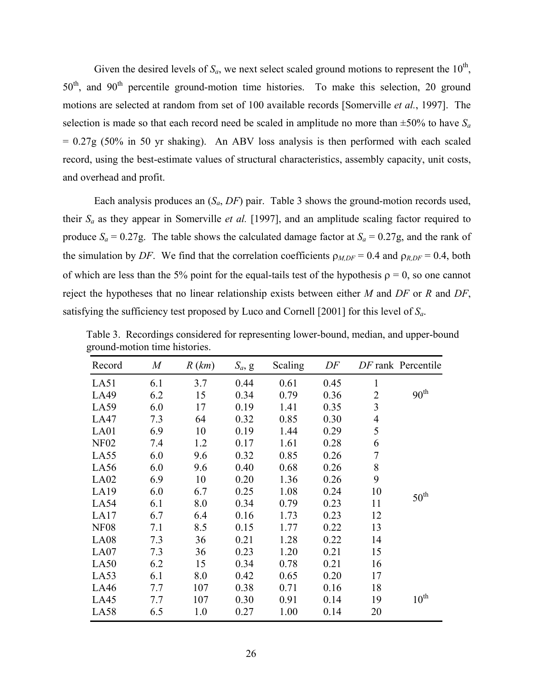Given the desired levels of  $S_a$ , we next select scaled ground motions to represent the  $10^{th}$ , 50<sup>th</sup>, and 90<sup>th</sup> percentile ground-motion time histories. To make this selection, 20 ground motions are selected at random from set of 100 available records [Somerville *et al.*, 1997]. The selection is made so that each record need be scaled in amplitude no more than  $\pm 50\%$  to have  $S_a$  $= 0.27g$  (50% in 50 yr shaking). An ABV loss analysis is then performed with each scaled record, using the best-estimate values of structural characteristics, assembly capacity, unit costs, and overhead and profit.

Each analysis produces an (*Sa*, *DF*) pair. [Table 3](#page-30-0) shows the ground-motion records used, their *Sa* as they appear in Somerville *et al.* [1997], and an amplitude scaling factor required to produce  $S_a = 0.27g$ . The table shows the calculated damage factor at  $S_a = 0.27g$ , and the rank of the simulation by *DF*. We find that the correlation coefficients  $\rho_{M,DF} = 0.4$  and  $\rho_{R,DF} = 0.4$ , both of which are less than the 5% point for the equal-tails test of the hypothesis  $\rho = 0$ , so one cannot reject the hypotheses that no linear relationship exists between either *M* and *DF* or *R* and *DF*, satisfying the sufficiency test proposed by Luco and Cornell [2001] for this level of *Sa*.

| Record      | $\boldsymbol{M}$ | R(km) | $S_a$ , g | Scaling | DF   |                | DF rank Percentile |
|-------------|------------------|-------|-----------|---------|------|----------------|--------------------|
| LA51        | 6.1              | 3.7   | 0.44      | 0.61    | 0.45 | $\mathbf{1}$   |                    |
| LA49        | 6.2              | 15    | 0.34      | 0.79    | 0.36 | $\overline{2}$ | 90 <sup>th</sup>   |
| LA59        | 6.0              | 17    | 0.19      | 1.41    | 0.35 | $\overline{3}$ |                    |
| LA47        | 7.3              | 64    | 0.32      | 0.85    | 0.30 | $\overline{4}$ |                    |
| LA01        | 6.9              | 10    | 0.19      | 1.44    | 0.29 | 5              |                    |
| <b>NF02</b> | 7.4              | 1.2   | 0.17      | 1.61    | 0.28 | 6              |                    |
| LA55        | 6.0              | 9.6   | 0.32      | 0.85    | 0.26 | $\overline{7}$ |                    |
| LA56        | 6.0              | 9.6   | 0.40      | 0.68    | 0.26 | 8              |                    |
| LA02        | 6.9              | 10    | 0.20      | 1.36    | 0.26 | 9              |                    |
| LA19        | 6.0              | 6.7   | 0.25      | 1.08    | 0.24 | 10             | $50^{\text{th}}$   |
| LA54        | 6.1              | 8.0   | 0.34      | 0.79    | 0.23 | 11             |                    |
| LA17        | 6.7              | 6.4   | 0.16      | 1.73    | 0.23 | 12             |                    |
| <b>NF08</b> | 7.1              | 8.5   | 0.15      | 1.77    | 0.22 | 13             |                    |
| LA08        | 7.3              | 36    | 0.21      | 1.28    | 0.22 | 14             |                    |
| LA07        | 7.3              | 36    | 0.23      | 1.20    | 0.21 | 15             |                    |
| LA50        | 6.2              | 15    | 0.34      | 0.78    | 0.21 | 16             |                    |
| LA53        | 6.1              | 8.0   | 0.42      | 0.65    | 0.20 | 17             |                    |
| LA46        | 7.7              | 107   | 0.38      | 0.71    | 0.16 | 18             |                    |
| LA45        | 7.7              | 107   | 0.30      | 0.91    | 0.14 | 19             | $10^{\text{th}}$   |
| LA58        | 6.5              | 1.0   | 0.27      | 1.00    | 0.14 | 20             |                    |

<span id="page-30-0"></span>Table 3. Recordings considered for representing lower-bound, median, and upper-bound ground-motion time histories.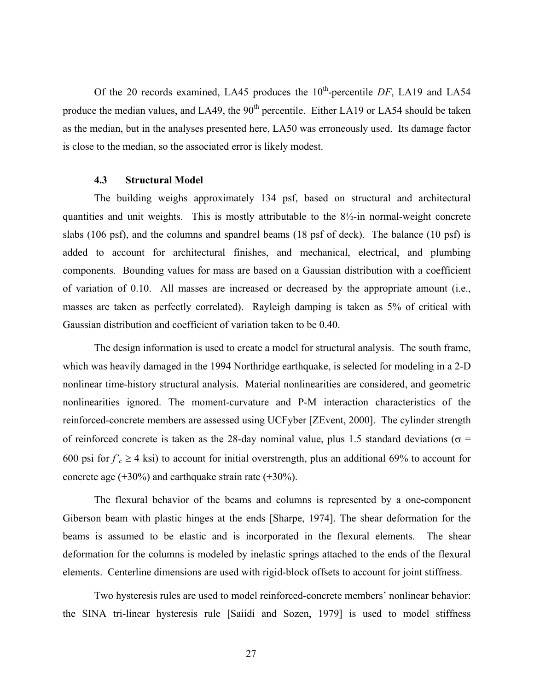<span id="page-31-0"></span>Of the 20 records examined, LA45 produces the 10<sup>th</sup>-percentile *DF*, LA19 and LA54 produce the median values, and LA49, the  $90<sup>th</sup>$  percentile. Either LA19 or LA54 should be taken as the median, but in the analyses presented here, LA50 was erroneously used. Its damage factor is close to the median, so the associated error is likely modest.

#### **4.3 Structural Model**

The building weighs approximately 134 psf, based on structural and architectural quantities and unit weights. This is mostly attributable to the  $8\frac{1}{2}$ -in normal-weight concrete slabs (106 psf), and the columns and spandrel beams (18 psf of deck). The balance (10 psf) is added to account for architectural finishes, and mechanical, electrical, and plumbing components. Bounding values for mass are based on a Gaussian distribution with a coefficient of variation of 0.10. All masses are increased or decreased by the appropriate amount (i.e., masses are taken as perfectly correlated). Rayleigh damping is taken as 5% of critical with Gaussian distribution and coefficient of variation taken to be 0.40.

The design information is used to create a model for structural analysis. The south frame, which was heavily damaged in the 1994 Northridge earthquake, is selected for modeling in a 2-D nonlinear time-history structural analysis. Material nonlinearities are considered, and geometric nonlinearities ignored. The moment-curvature and P-M interaction characteristics of the reinforced-concrete members are assessed using UCFyber [ZEvent, 2000]. The cylinder strength of reinforced concrete is taken as the 28-day nominal value, plus 1.5 standard deviations ( $\sigma$  = 600 psi for  $f'_{c} \ge 4$  ksi) to account for initial overstrength, plus an additional 69% to account for concrete age (+30%) and earthquake strain rate (+30%).

The flexural behavior of the beams and columns is represented by a one-component Giberson beam with plastic hinges at the ends [Sharpe, 1974]. The shear deformation for the beams is assumed to be elastic and is incorporated in the flexural elements. The shear deformation for the columns is modeled by inelastic springs attached to the ends of the flexural elements. Centerline dimensions are used with rigid-block offsets to account for joint stiffness.

Two hysteresis rules are used to model reinforced-concrete members' nonlinear behavior: the SINA tri-linear hysteresis rule [Saiidi and Sozen, 1979] is used to model stiffness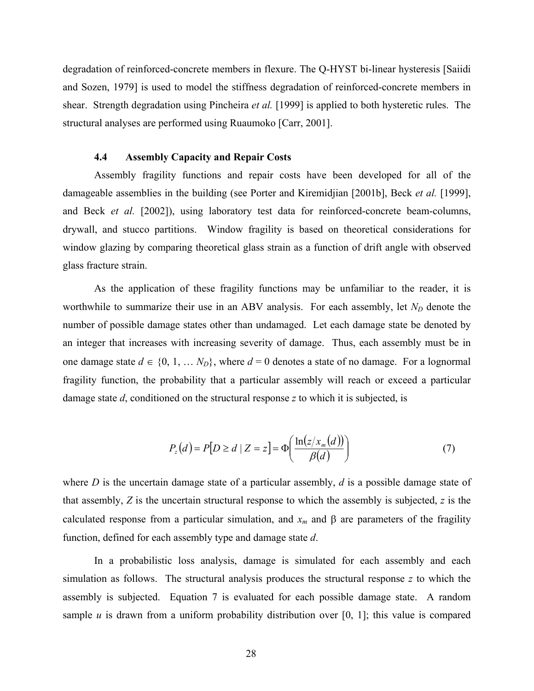<span id="page-32-0"></span>degradation of reinforced-concrete members in flexure. The Q-HYST bi-linear hysteresis [Saiidi and Sozen, 1979] is used to model the stiffness degradation of reinforced-concrete members in shear. Strength degradation using Pincheira *et al.* [1999] is applied to both hysteretic rules. The structural analyses are performed using Ruaumoko [Carr, 2001].

#### **4.4 Assembly Capacity and Repair Costs**

Assembly fragility functions and repair costs have been developed for all of the damageable assemblies in the building (see Porter and Kiremidjian [2001b], Beck *et al.* [1999], and Beck *et al.* [2002]), using laboratory test data for reinforced-concrete beam-columns, drywall, and stucco partitions. Window fragility is based on theoretical considerations for window glazing by comparing theoretical glass strain as a function of drift angle with observed glass fracture strain.

As the application of these fragility functions may be unfamiliar to the reader, it is worthwhile to summarize their use in an ABV analysis. For each assembly, let  $N_D$  denote the number of possible damage states other than undamaged. Let each damage state be denoted by an integer that increases with increasing severity of damage. Thus, each assembly must be in one damage state  $d \in \{0, 1, ..., N_D\}$ , where  $d = 0$  denotes a state of no damage. For a lognormal fragility function, the probability that a particular assembly will reach or exceed a particular damage state *d*, conditioned on the structural response *z* to which it is subjected, is

$$
P_z(d) = P[D \ge d \mid Z = z] = \Phi\left(\frac{\ln(z/x_m(d))}{\beta(d)}\right) \tag{7}
$$

where *D* is the uncertain damage state of a particular assembly, *d* is a possible damage state of that assembly, *Z* is the uncertain structural response to which the assembly is subjected, *z* is the calculated response from a particular simulation, and  $x_m$  and  $\beta$  are parameters of the fragility function, defined for each assembly type and damage state *d*.

In a probabilistic loss analysis, damage is simulated for each assembly and each simulation as follows. The structural analysis produces the structural response *z* to which the assembly is subjected. Equation 7 is evaluated for each possible damage state. A random sample  $u$  is drawn from a uniform probability distribution over  $[0, 1]$ ; this value is compared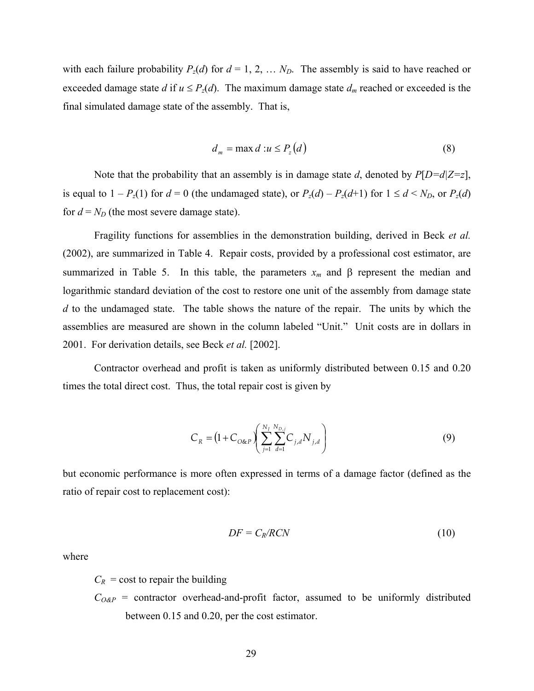with each failure probability  $P_z(d)$  for  $d = 1, 2, \ldots N_D$ . The assembly is said to have reached or exceeded damage state *d* if  $u \leq P_z(d)$ . The maximum damage state  $d_m$  reached or exceeded is the final simulated damage state of the assembly. That is,

$$
d_m = \max d : u \le P_z(d) \tag{8}
$$

Note that the probability that an assembly is in damage state *d*, denoted by *P*[*D=d|Z=z*], is equal to  $1 - P_z(1)$  for  $d = 0$  (the undamaged state), or  $P_z(d) - P_z(d+1)$  for  $1 \le d \le N_D$ , or  $P_z(d)$ for  $d = N_D$  (the most severe damage state).

Fragility functions for assemblies in the demonstration building, derived in Beck *et al.* (2002), are summarized in [Table 4.](#page-34-0) Repair costs, provided by a professional cost estimator, are summarized in [Table 5.](#page-35-0) In this table, the parameters  $x_m$  and  $\beta$  represent the median and logarithmic standard deviation of the cost to restore one unit of the assembly from damage state *d* to the undamaged state. The table shows the nature of the repair. The units by which the assemblies are measured are shown in the column labeled "Unit." Unit costs are in dollars in 2001. For derivation details, see Beck *et al.* [2002].

Contractor overhead and profit is taken as uniformly distributed between 0.15 and 0.20 times the total direct cost. Thus, the total repair cost is given by

$$
C_R = \left(1 + C_{O\&P}\right)\left(\sum_{j=1}^{N_I} \sum_{d=1}^{N_{D,j}} C_{j,d} N_{j,d}\right)
$$
(9)

but economic performance is more often expressed in terms of a damage factor (defined as the ratio of repair cost to replacement cost):

$$
DF = C_R / RCN \tag{10}
$$

where

 $C_R$  = cost to repair the building

 $C<sub>O\&P</sub>$  = contractor overhead-and-profit factor, assumed to be uniformly distributed between 0.15 and 0.20, per the cost estimator.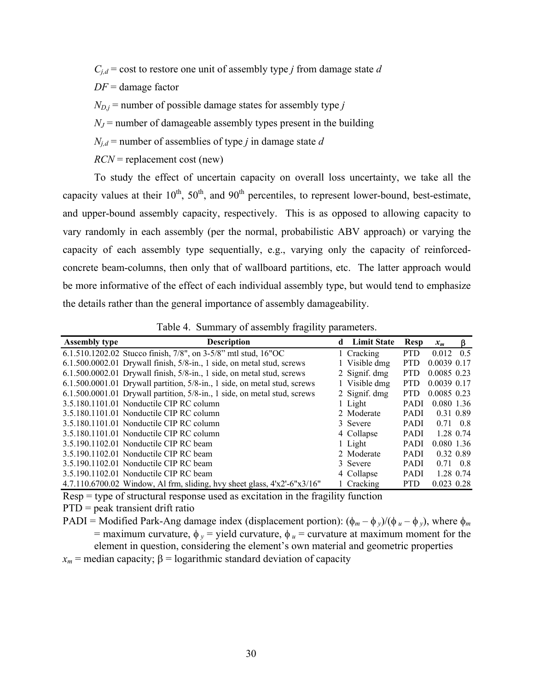$C_{i,d}$  = cost to restore one unit of assembly type *j* from damage state *d* 

*DF* = damage factor

 $N_{D,i}$  = number of possible damage states for assembly type *j* 

 $N_J$  = number of damageable assembly types present in the building

 $N_{i,d}$  = number of assemblies of type *j* in damage state *d* 

*RCN* = replacement cost (new)

To study the effect of uncertain capacity on overall loss uncertainty, we take all the capacity values at their  $10^{th}$ ,  $50^{th}$ , and  $90^{th}$  percentiles, to represent lower-bound, best-estimate, and upper-bound assembly capacity, respectively. This is as opposed to allowing capacity to vary randomly in each assembly (per the normal, probabilistic ABV approach) or varying the capacity of each assembly type sequentially, e.g., varying only the capacity of reinforcedconcrete beam-columns, then only that of wallboard partitions, etc. The latter approach would be more informative of the effect of each individual assembly type, but would tend to emphasize the details rather than the general importance of assembly damageability.

| <b>Assembly type</b> | <b>Description</b>                                                             | d Limit State | Resp        | $x_m$             | B         |
|----------------------|--------------------------------------------------------------------------------|---------------|-------------|-------------------|-----------|
|                      | 6.1.510.1202.02 Stucco finish, $7/8$ ", on $3-5/8$ " mtl stud, $16$ "OC        | 1 Cracking    | <b>PTD</b>  | $0.012 \quad 0.5$ |           |
|                      | $6.1.500.0002.01$ Drywall finish, $5/8$ -in., 1 side, on metal stud, screws    | 1 Visible dmg | <b>PTD</b>  | 0.0039 0.17       |           |
|                      | 6.1.500.0002.01 Drywall finish, 5/8-in., 1 side, on metal stud, screws         | 2 Signif. dmg | <b>PTD</b>  | 0.0085 0.23       |           |
|                      | $6.1.500.0001.01$ Drywall partition, $5/8$ -in., 1 side, on metal stud, screws | 1 Visible dmg | <b>PTD</b>  | 0.0039 0.17       |           |
|                      | 6.1.500.0001.01 Drywall partition, 5/8-in., 1 side, on metal stud, screws      | 2 Signif. dmg | <b>PTD</b>  | 0.0085 0.23       |           |
|                      | 3.5.180.1101.01 Nonductile CIP RC column                                       | 1 Light       | <b>PADI</b> | 0.080 1.36        |           |
|                      | 3.5.180.1101.01 Nonductile CIP RC column                                       | 2 Moderate    | <b>PADI</b> |                   | 0.31 0.89 |
|                      | 3.5.180.1101.01 Nonductile CIP RC column                                       | 3 Severe      | <b>PADI</b> | $0.71 \quad 0.8$  |           |
|                      | 3.5.180.1101.01 Nonductile CIP RC column                                       | 4 Collapse    | <b>PADI</b> |                   | 1.28 0.74 |
|                      | 3.5.190.1102.01 Nonductile CIP RC beam                                         | 1 Light       | <b>PADI</b> | 0.080 1.36        |           |
|                      | 3.5.190.1102.01 Nonductile CIP RC beam                                         | 2 Moderate    | <b>PADI</b> |                   | 0.32 0.89 |
|                      | 3.5.190.1102.01 Nonductile CIP RC beam                                         | 3 Severe      | <b>PADI</b> | 0.71 0.8          |           |
|                      | 3.5.190.1102.01 Nonductile CIP RC beam                                         | 4 Collapse    | <b>PADI</b> |                   | 1.28 0.74 |
|                      | 4.7.110.6700.02 Window, Al frm, sliding, hvy sheet glass, $4'x2'-6''x3/16''$   | 1 Cracking    | <b>PTD</b>  | 0.023 0.28        |           |

<span id="page-34-0"></span>Table 4. Summary of assembly fragility parameters.

Resp = type of structural response used as excitation in the fragility function

PTD = peak transient drift ratio

PADI = Modified Park-Ang damage index (displacement portion):  $(\phi_m - \phi_y)/(\phi_u - \phi_y)$ , where  $\phi_m$ = maximum curvature,  $\phi_y$  = yield curvature,  $\phi_u$  = curvature at maximum moment for the

element in question, considering the element's own material and geometric properties

 $x_m$  = median capacity;  $\beta$  = logarithmic standard deviation of capacity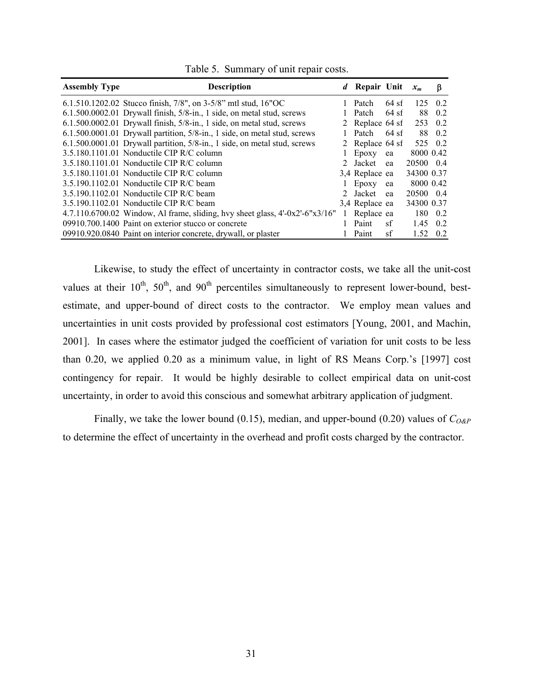| <b>Assembly Type</b> | <b>Description</b>                                                               | d Repair Unit   |         | $x_m$      | β       |
|----------------------|----------------------------------------------------------------------------------|-----------------|---------|------------|---------|
|                      | 6.1.510.1202.02 Stucco finish, $7/8$ ", on 3-5/8" mtl stud, 16"OC                | 1 Patch         | $64$ sf |            | 125 0.2 |
|                      | 6.1.500.0002.01 Drywall finish, 5/8-in., 1 side, on metal stud, screws           | Patch           | $64$ sf | 88         | 0.2     |
|                      | $6.1.500.0002.01$ Drywall finish, $5/8$ -in., 1 side, on metal stud, screws      | 2 Replace 64 sf |         |            | 253 0.2 |
|                      | $6.1.500.0001.01$ Drywall partition, $5/8$ -in., 1 side, on metal stud, screws   | Patch           | $64$ sf | 88         | 0.2     |
|                      | 6.1.500.0001.01 Drywall partition, 5/8-in., 1 side, on metal stud, screws        | 2 Replace 64 sf |         |            | 525 0.2 |
|                      | 3.5.180.1101.01 Nonductile CIP R/C column                                        | Epoxy           | ea      | 8000 0.42  |         |
|                      | 3.5.180.1101.01 Nonductile CIP R/C column                                        | 2 Jacket        | ea      | 20500 0.4  |         |
|                      | 3.5.180.1101.01 Nonductile CIP R/C column                                        | 3,4 Replace ea  |         | 34300 0.37 |         |
|                      | $3.5.190.1102.01$ Nonductile CIP R/C beam                                        | Epoxy           | ea      | 8000 0.42  |         |
|                      | 3.5.190.1102.01 Nonductile CIP R/C beam                                          | 2 Jacket        | ea      | 20500 0.4  |         |
|                      | 3.5.190.1102.01 Nonductile CIP R/C beam                                          | 3.4 Replace ea  |         | 34300 0.37 |         |
|                      | 4.7.110.6700.02 Window, Al frame, sliding, hvy sheet glass, $4'-0x2'-6''x3/16''$ | Replace ea      |         | 180        | 0.2     |
|                      | 09910.700.1400 Paint on exterior stucco or concrete                              | Paint           | sf      | 1.45       | 0.2     |
|                      | 09910.920.0840 Paint on interior concrete, drywall, or plaster                   | Paint           | sf      | 1.52       | 0.2     |

<span id="page-35-0"></span>Table 5. Summary of unit repair costs.

Likewise, to study the effect of uncertainty in contractor costs, we take all the unit-cost values at their  $10^{th}$ ,  $50^{th}$ , and  $90^{th}$  percentiles simultaneously to represent lower-bound, bestestimate, and upper-bound of direct costs to the contractor. We employ mean values and uncertainties in unit costs provided by professional cost estimators [Young, 2001, and Machin, 2001]. In cases where the estimator judged the coefficient of variation for unit costs to be less than 0.20, we applied 0.20 as a minimum value, in light of RS Means Corp.'s [1997] cost contingency for repair. It would be highly desirable to collect empirical data on unit-cost uncertainty, in order to avoid this conscious and somewhat arbitrary application of judgment.

Finally, we take the lower bound (0.15), median, and upper-bound (0.20) values of *CO&P* to determine the effect of uncertainty in the overhead and profit costs charged by the contractor.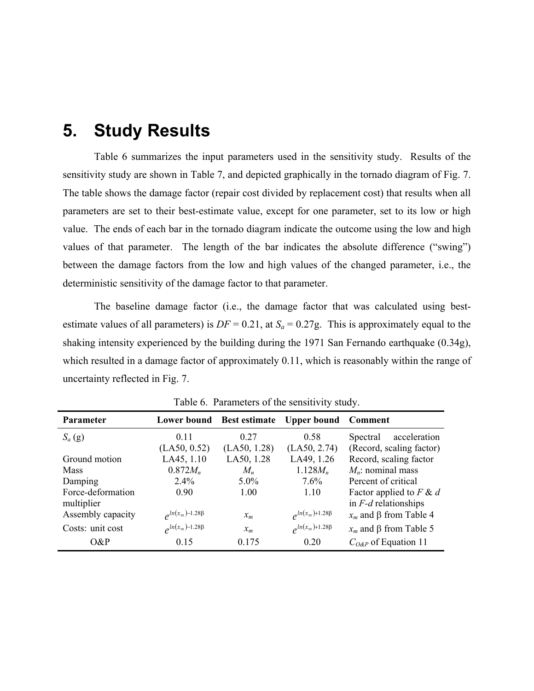## <span id="page-36-0"></span>**5. Study Results**

[Table 6](#page-36-1) summarizes the input parameters used in the sensitivity study. Results of the sensitivity study are shown in [Table 7,](#page-37-0) and depicted graphically in the tornado diagram of [Fig. 7.](#page-37-1) The table shows the damage factor (repair cost divided by replacement cost) that results when all parameters are set to their best-estimate value, except for one parameter, set to its low or high value. The ends of each bar in the tornado diagram indicate the outcome using the low and high values of that parameter. The length of the bar indicates the absolute difference ("swing") between the damage factors from the low and high values of the changed parameter, i.e., the deterministic sensitivity of the damage factor to that parameter.

The baseline damage factor (i.e., the damage factor that was calculated using bestestimate values of all parameters) is  $DF = 0.21$ , at  $S_a = 0.27g$ . This is approximately equal to the shaking intensity experienced by the building during the 1971 San Fernando earthquake (0.34g), which resulted in a damage factor of approximately 0.11, which is reasonably within the range of uncertainty reflected in [Fig. 7.](#page-37-1)

| <b>Parameter</b>  |                            |              | Lower bound Best estimate Upper bound Comment |                                |
|-------------------|----------------------------|--------------|-----------------------------------------------|--------------------------------|
| $S_a(g)$          | 011                        | 0.27         | 0.58                                          | acceleration<br>Spectral       |
|                   | (LA50, 0.52)               | (LA50, 1.28) | (LA50, 2.74)                                  | (Record, scaling factor)       |
| Ground motion     | LA45, 1.10                 | LA50, 1.28   | LA49, 1.26                                    | Record, scaling factor         |
| <b>Mass</b>       | $0.872M_n$                 | $M_n$        | $1.128M_n$                                    | $M_n$ : nominal mass           |
| Damping           | 2.4%                       | $5.0\%$      | 7.6%                                          | Percent of critical            |
| Force-deformation | 0.90                       | 1.00         | 1 10                                          | Factor applied to $F \& d$     |
| multiplier        |                            |              |                                               | in $F-d$ relationships         |
| Assembly capacity | $e^{\ln(x_m)-1.28\beta}$   | $x_m$        | $\rho^{ln(x_m)+1.28\beta}$                    | $x_m$ and $\beta$ from Table 4 |
| Costs: unit cost  | $\rho^{ln(x_m)-1.28\beta}$ | $x_m$        | $\rho^{ln(x_m)+1.28\beta}$                    | $x_m$ and $\beta$ from Table 5 |
| $O\&P$            | 0.15                       | 0.175        | 020                                           | $C_{O\&P}$ of Equation 11      |

<span id="page-36-1"></span>Table 6. Parameters of the sensitivity study.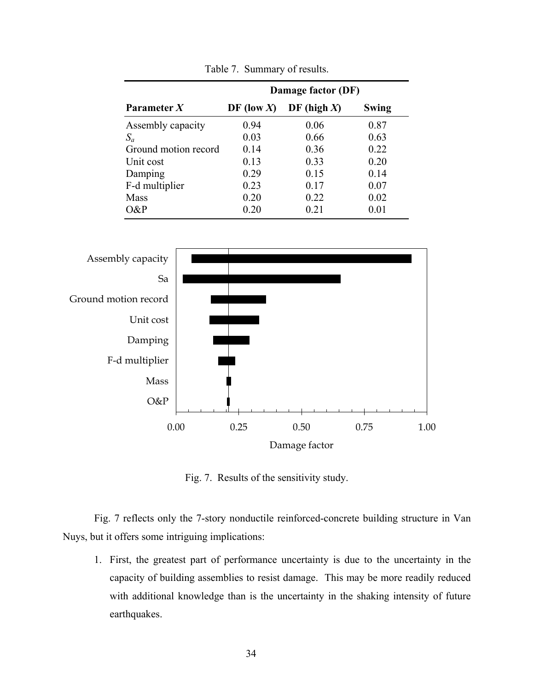|                      | Damage factor (DF) |                |            |  |  |  |  |
|----------------------|--------------------|----------------|------------|--|--|--|--|
| Parameter $X$        | DF (low X)         | DF (high $X$ ) | Swing      |  |  |  |  |
| Assembly capacity    | 0.94               | 0.06           | 0.87       |  |  |  |  |
| $S_a$                | 0.03               | 0.66           | 0.63       |  |  |  |  |
| Ground motion record | 0.14               | 0.36           | 0.22       |  |  |  |  |
| Unit cost            | 0.13               | 0.33           | 0.20       |  |  |  |  |
| Damping              | 0.29               | 0.15           | 0.14       |  |  |  |  |
| F-d multiplier       | 0.23               | 0.17           | 0.07       |  |  |  |  |
| Mass                 | 0.20               | 0.22           | 0.02       |  |  |  |  |
| O&P                  | 0.20               | 0.21           | $\rm 0.01$ |  |  |  |  |

<span id="page-37-0"></span>Table 7. Summary of results.

<span id="page-37-1"></span>

Fig. 7. Results of the sensitivity study.

[Fig. 7](#page-37-1) reflects only the 7-story nonductile reinforced-concrete building structure in Van Nuys, but it offers some intriguing implications:

1. First, the greatest part of performance uncertainty is due to the uncertainty in the capacity of building assemblies to resist damage. This may be more readily reduced with additional knowledge than is the uncertainty in the shaking intensity of future earthquakes.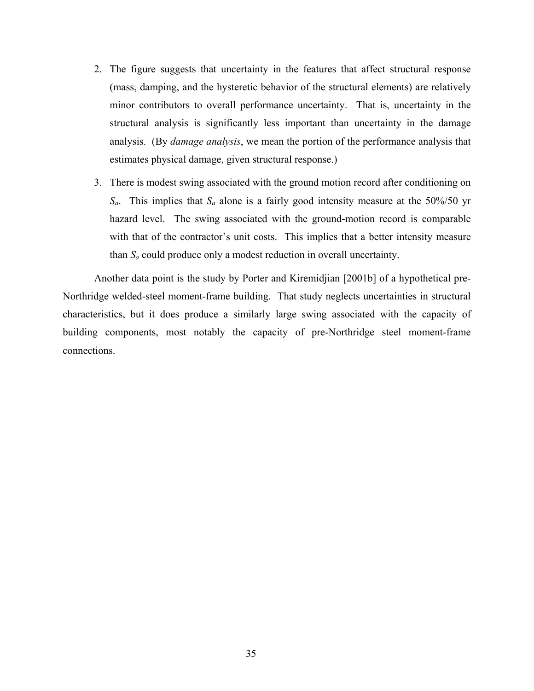- 2. The figure suggests that uncertainty in the features that affect structural response (mass, damping, and the hysteretic behavior of the structural elements) are relatively minor contributors to overall performance uncertainty. That is, uncertainty in the structural analysis is significantly less important than uncertainty in the damage analysis. (By *damage analysis*, we mean the portion of the performance analysis that estimates physical damage, given structural response.)
- 3. There is modest swing associated with the ground motion record after conditioning on *Sa*. This implies that *Sa* alone is a fairly good intensity measure at the 50%/50 yr hazard level. The swing associated with the ground-motion record is comparable with that of the contractor's unit costs. This implies that a better intensity measure than *Sa* could produce only a modest reduction in overall uncertainty.

Another data point is the study by Porter and Kiremidjian [2001b] of a hypothetical pre-Northridge welded-steel moment-frame building. That study neglects uncertainties in structural characteristics, but it does produce a similarly large swing associated with the capacity of building components, most notably the capacity of pre-Northridge steel moment-frame connections.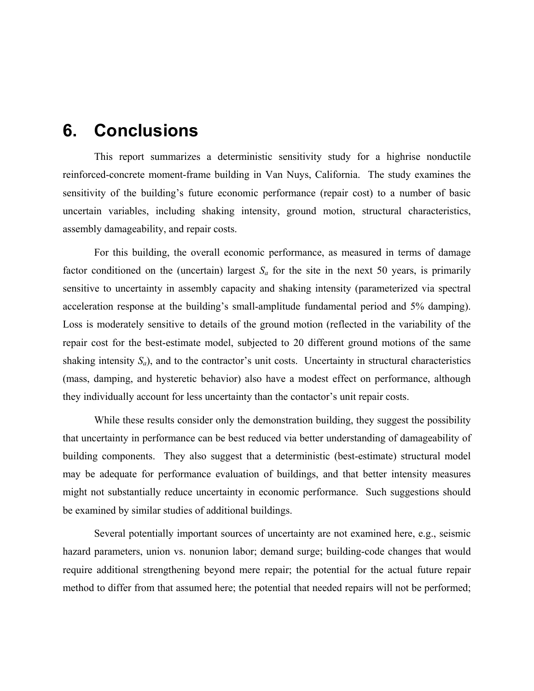## <span id="page-39-0"></span>**6. Conclusions**

This report summarizes a deterministic sensitivity study for a highrise nonductile reinforced-concrete moment-frame building in Van Nuys, California. The study examines the sensitivity of the building's future economic performance (repair cost) to a number of basic uncertain variables, including shaking intensity, ground motion, structural characteristics, assembly damageability, and repair costs.

For this building, the overall economic performance, as measured in terms of damage factor conditioned on the (uncertain) largest  $S_a$  for the site in the next 50 years, is primarily sensitive to uncertainty in assembly capacity and shaking intensity (parameterized via spectral acceleration response at the building's small-amplitude fundamental period and 5% damping). Loss is moderately sensitive to details of the ground motion (reflected in the variability of the repair cost for the best-estimate model, subjected to 20 different ground motions of the same shaking intensity  $S_a$ ), and to the contractor's unit costs. Uncertainty in structural characteristics (mass, damping, and hysteretic behavior) also have a modest effect on performance, although they individually account for less uncertainty than the contactor's unit repair costs.

While these results consider only the demonstration building, they suggest the possibility that uncertainty in performance can be best reduced via better understanding of damageability of building components. They also suggest that a deterministic (best-estimate) structural model may be adequate for performance evaluation of buildings, and that better intensity measures might not substantially reduce uncertainty in economic performance. Such suggestions should be examined by similar studies of additional buildings.

Several potentially important sources of uncertainty are not examined here, e.g., seismic hazard parameters, union vs. nonunion labor; demand surge; building-code changes that would require additional strengthening beyond mere repair; the potential for the actual future repair method to differ from that assumed here; the potential that needed repairs will not be performed;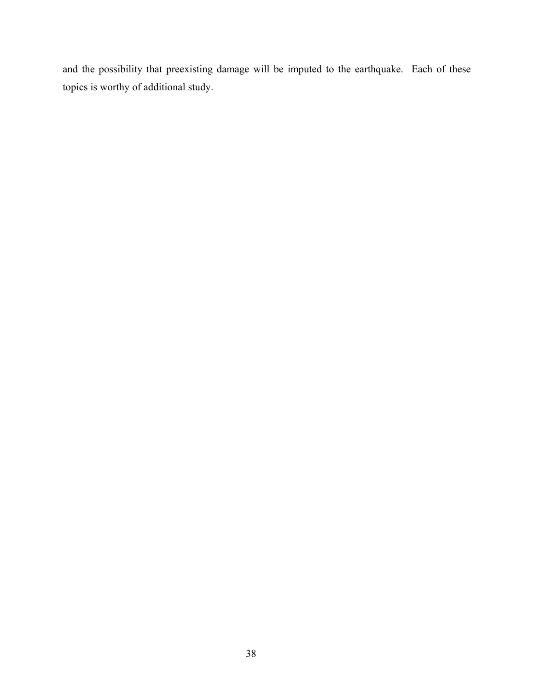and the possibility that preexisting damage will be imputed to the earthquake. Each of these topics is worthy of additional study.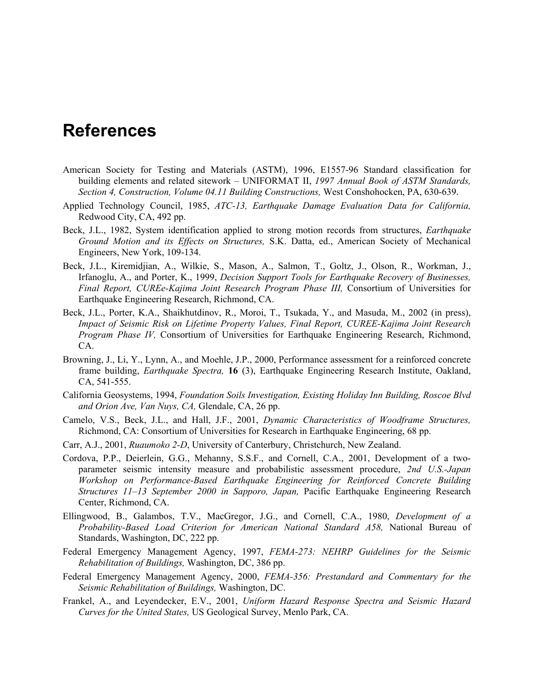# <span id="page-41-0"></span>**References**

- American Society for Testing and Materials (ASTM), 1996, E1557-96 Standard classification for building elements and related sitework – UNIFORMAT II, *1997 Annual Book of ASTM Standards, Section 4, Construction, Volume 04.11 Building Constructions,* West Conshohocken, PA, 630-639.
- Applied Technology Council, 1985, *ATC-13, Earthquake Damage Evaluation Data for California,* Redwood City, CA, 492 pp.
- Beck, J.L., 1982, System identification applied to strong motion records from structures, *Earthquake Ground Motion and its Effects on Structures,* S.K. Datta, ed., American Society of Mechanical Engineers, New York, 109-134.
- Beck, J.L., Kiremidjian, A., Wilkie, S., Mason, A., Salmon, T., Goltz, J., Olson, R., Workman, J., Irfanoglu, A., and Porter, K., 1999, *Decision Support Tools for Earthquake Recovery of Businesses,* Final Report, CUREe-Kajima Joint Research Program Phase III, Consortium of Universities for Earthquake Engineering Research, Richmond, CA.
- Beck, J.L., Porter, K.A., Shaikhutdinov, R., Moroi, T., Tsukada, Y., and Masuda, M., 2002 (in press), *Impact of Seismic Risk on Lifetime Property Values, Final Report, CUREE-Kajima Joint Research Program Phase IV,* Consortium of Universities for Earthquake Engineering Research, Richmond, CA.
- Browning, J., Li, Y., Lynn, A., and Moehle, J.P., 2000, Performance assessment for a reinforced concrete frame building, *Earthquake Spectra,* **16** (3), Earthquake Engineering Research Institute, Oakland, CA, 541-555.
- California Geosystems, 1994, *Foundation Soils Investigation, Existing Holiday Inn Building, Roscoe Blvd and Orion Ave, Van Nuys, CA,* Glendale, CA, 26 pp.
- Camelo, V.S., Beck, J.L., and Hall, J.F., 2001, *Dynamic Characteristics of Woodframe Structures,* Richmond, CA: Consortium of Universities for Research in Earthquake Engineering, 68 pp.
- Carr, A.J., 2001, *Ruaumoko 2-D*, University of Canterbury, Christchurch, New Zealand.
- Cordova, P.P., Deierlein, G.G., Mehanny, S.S.F., and Cornell, C.A., 2001, Development of a twoparameter seismic intensity measure and probabilistic assessment procedure, *2nd U.S.-Japan Workshop on Performance-Based Earthquake Engineering for Reinforced Concrete Building Structures 11–13 September 2000 in Sapporo, Japan,* Pacific Earthquake Engineering Research Center, Richmond, CA.
- Ellingwood, B., Galambos, T.V., MacGregor, J.G., and Cornell, C.A., 1980, *Development of a Probability-Based Load Criterion for American National Standard A58,* National Bureau of Standards, Washington, DC, 222 pp.
- Federal Emergency Management Agency, 1997, *FEMA-273: NEHRP Guidelines for the Seismic Rehabilitation of Buildings,* Washington, DC, 386 pp.
- Federal Emergency Management Agency, 2000, *FEMA-356: Prestandard and Commentary for the Seismic Rehabilitation of Buildings,* Washington, DC.
- Frankel, A., and Leyendecker, E.V., 2001, *Uniform Hazard Response Spectra and Seismic Hazard Curves for the United States,* US Geological Survey, Menlo Park, CA.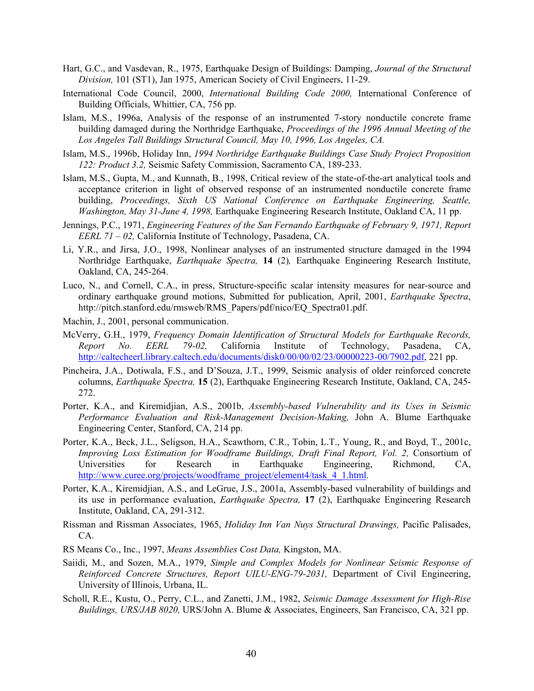- Hart, G.C., and Vasdevan, R., 1975, Earthquake Design of Buildings: Damping, *Journal of the Structural Division,* 101 (ST1), Jan 1975, American Society of Civil Engineers, 11-29.
- International Code Council, 2000, *International Building Code 2000,* International Conference of Building Officials, Whittier, CA, 756 pp.
- Islam, M.S., 1996a, Analysis of the response of an instrumented 7-story nonductile concrete frame building damaged during the Northridge Earthquake, *Proceedings of the 1996 Annual Meeting of the Los Angeles Tall Buildings Structural Council, May 10, 1996, Los Angeles, CA.*
- Islam, M.S., 1996b, Holiday Inn, *1994 Northridge Earthquake Buildings Case Study Project Proposition 122: Product 3.2,* Seismic Safety Commission, Sacramento CA, 189-233.
- Islam, M.S., Gupta, M., and Kunnath, B., 1998, Critical review of the state-of-the-art analytical tools and acceptance criterion in light of observed response of an instrumented nonductile concrete frame building, *Proceedings, Sixth US National Conference on Earthquake Engineering, Seattle, Washington, May 31-June 4, 1998,* Earthquake Engineering Research Institute, Oakland CA, 11 pp.
- Jennings, P.C., 1971, *Engineering Features of the San Fernando Earthquake of February 9, 1971, Report EERL 71 – 02,* California Institute of Technology, Pasadena, CA.
- Li, Y.R., and Jirsa, J.O., 1998, Nonlinear analyses of an instrumented structure damaged in the 1994 Northridge Earthquake, *Earthquake Spectra,* **14** (2)*,* Earthquake Engineering Research Institute, Oakland, CA, 245-264.
- Luco, N., and Cornell, C.A., in press, Structure-specific scalar intensity measures for near-source and ordinary earthquake ground motions, Submitted for publication, April, 2001, *Earthquake Spectra*, http://pitch.stanford.edu/rmsweb/RMS\_Papers/pdf/nico/EQ\_Spectra01.pdf.
- Machin, J., 2001, personal communication.
- McVerry, G.H., 1979, *Frequency Domain Identification of Structural Models for Earthquake Records, Report No. EERL 79-02,* California Institute of Technology, Pasadena, CA, [http://caltecheerl.library.caltech.edu/documents/disk0/00/00/02/23/00000223-00/7902.pdf,](http://caltecheerl.library.caltech.edu/documents/disk0/00/00/02/23/00000223-00/7902.pdf) 221 pp.
- Pincheira, J.A., Dotiwala, F.S., and D'Souza, J.T., 1999, Seismic analysis of older reinforced concrete columns, *Earthquake Spectra,* **15** (2), Earthquake Engineering Research Institute, Oakland, CA, 245- 272.
- Porter, K.A., and Kiremidjian, A.S., 2001b, *Assembly-based Vulnerability and its Uses in Seismic Performance Evaluation and Risk-Management Decision-Making,* John A. Blume Earthquake Engineering Center, Stanford, CA, 214 pp.
- Porter, K.A., Beck, J.L., Seligson, H.A., Scawthorn, C.R., Tobin, L.T., Young, R., and Boyd, T., 2001c, *Improving Loss Estimation for Woodframe Buildings, Draft Final Report, Vol. 2,* Consortium of Universities for Research in Earthquake Engineering, Richmond, CA, [http://www.curee.org/projects/woodframe\\_project/element4/task\\_4\\_1.html](http://www.curee.org/projects/woodframe_project/element4/task_4_1.html).
- Porter, K.A., Kiremidjian, A.S., and LeGrue, J.S., 2001a, Assembly-based vulnerability of buildings and its use in performance evaluation, *Earthquake Spectra,* **17** (2), Earthquake Engineering Research Institute, Oakland, CA, 291-312.
- Rissman and Rissman Associates, 1965, *Holiday Inn Van Nuys Structural Drawings,* Pacific Palisades, CA.
- RS Means Co., Inc., 1997, *Means Assemblies Cost Data,* Kingston, MA.
- Saiidi, M., and Sozen, M.A., 1979, *Simple and Complex Models for Nonlinear Seismic Response of Reinforced Concrete Structures, Report UILU-ENG-79-2031,* Department of Civil Engineering, University of Illinois, Urbana, IL.
- Scholl, R.E., Kustu, O., Perry, C.L., and Zanetti, J.M., 1982, *Seismic Damage Assessment for High-Rise Buildings, URS/JAB 8020,* URS/John A. Blume & Associates, Engineers, San Francisco, CA, 321 pp.